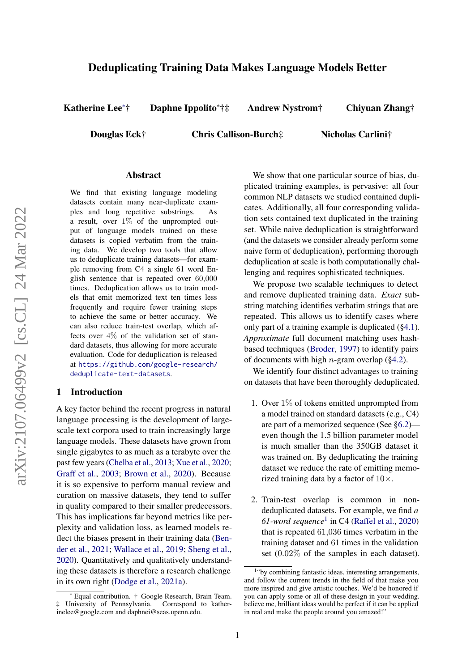# Deduplicating Training Data Makes Language Models Better

Katherine Lee<sup>∗</sup>† Daphne Ippolito<sup>∗</sup>†‡ Andrew Nystrom† Chiyuan Zhang†

Douglas Eck† Chris Callison-Burch‡ Nicholas Carlini†

### Abstract

We find that existing language modeling datasets contain many near-duplicate examples and long repetitive substrings. As a result, over  $1\%$  of the unprompted output of language models trained on these datasets is copied verbatim from the training data. We develop two tools that allow us to deduplicate training datasets—for example removing from C4 a single 61 word English sentence that is repeated over 60,000 times. Deduplication allows us to train models that emit memorized text ten times less frequently and require fewer training steps to achieve the same or better accuracy. We can also reduce train-test overlap, which affects over  $4\%$  of the validation set of standard datasets, thus allowing for more accurate evaluation. Code for deduplication is released at [https://github.com/google-research/](https://github.com/google-research/deduplicate-text-datasets) [deduplicate-text-datasets](https://github.com/google-research/deduplicate-text-datasets).

#### 1 Introduction

A key factor behind the recent progress in natural language processing is the development of largescale text corpora used to train increasingly large language models. These datasets have grown from single gigabytes to as much as a terabyte over the past few years [\(Chelba et al.,](#page-9-0) [2013;](#page-9-0) [Xue et al.,](#page-10-0) [2020;](#page-10-0) [Graff et al.,](#page-9-1) [2003;](#page-9-1) [Brown et al.,](#page-9-2) [2020\)](#page-9-2). Because it is so expensive to perform manual review and curation on massive datasets, they tend to suffer in quality compared to their smaller predecessors. This has implications far beyond metrics like perplexity and validation loss, as learned models reflect the biases present in their training data [\(Ben](#page-9-3)[der et al.,](#page-9-3) [2021;](#page-9-3) [Wallace et al.,](#page-10-1) [2019;](#page-10-1) [Sheng et al.,](#page-10-2) [2020\)](#page-10-2). Quantitatively and qualitatively understanding these datasets is therefore a research challenge in its own right [\(Dodge et al.,](#page-9-4) [2021a\)](#page-9-4).

We show that one particular source of bias, duplicated training examples, is pervasive: all four common NLP datasets we studied contained duplicates. Additionally, all four corresponding validation sets contained text duplicated in the training set. While naive deduplication is straightforward (and the datasets we consider already perform some naive form of deduplication), performing thorough deduplication at scale is both computationally challenging and requires sophisticated techniques.

We propose two scalable techniques to detect and remove duplicated training data. *Exact* substring matching identifies verbatim strings that are repeated. This allows us to identify cases where only part of a training example is duplicated ([§4.1\)](#page-2-0). *Approximate* full document matching uses hashbased techniques [\(Broder,](#page-9-5) [1997\)](#page-9-5) to identify pairs of documents with high *n*-gram overlap ( $\S 4.2$ ).

We identify four distinct advantages to training on datasets that have been thoroughly deduplicated.

- 1. Over 1% of tokens emitted unprompted from a model trained on standard datasets (e.g., C4) are part of a memorized sequence (See [§6.2\)](#page-6-0) even though the 1.5 billion parameter model is much smaller than the 350GB dataset it was trained on. By deduplicating the training dataset we reduce the rate of emitting memorized training data by a factor of  $10\times$ .
- 2. Train-test overlap is common in nondeduplicated datasets. For example, we find *a 61-word sequence*[1](#page-0-0) in C4 [\(Raffel et al.,](#page-10-3) [2020\)](#page-10-3) that is repeated 61,036 times verbatim in the training dataset and 61 times in the validation set (0.02% of the samples in each dataset).

<sup>∗</sup> Equal contribution. † Google Research, Brain Team. ‡ University of Pennsylvania. Correspond to katherinelee@google.com and daphnei@seas.upenn.edu.

<span id="page-0-0"></span><sup>1</sup> "by combining fantastic ideas, interesting arrangements, and follow the current trends in the field of that make you more inspired and give artistic touches. We'd be honored if you can apply some or all of these design in your wedding. believe me, brilliant ideas would be perfect if it can be applied in real and make the people around you amazed!"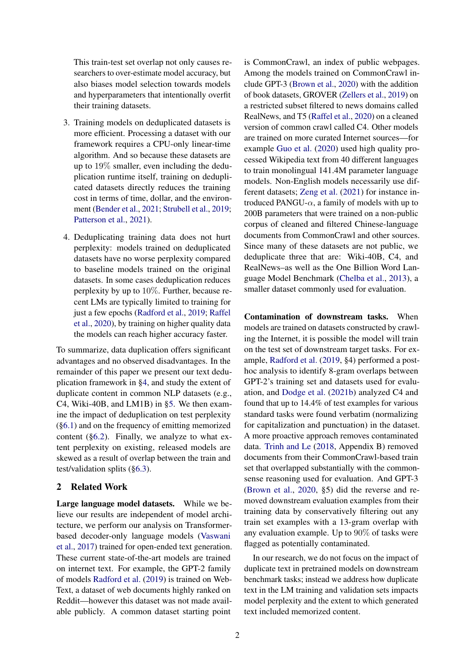This train-test set overlap not only causes researchers to over-estimate model accuracy, but also biases model selection towards models and hyperparameters that intentionally overfit their training datasets.

- 3. Training models on deduplicated datasets is more efficient. Processing a dataset with our framework requires a CPU-only linear-time algorithm. And so because these datasets are up to 19% smaller, even including the deduplication runtime itself, training on deduplicated datasets directly reduces the training cost in terms of time, dollar, and the environment [\(Bender et al.,](#page-9-3) [2021;](#page-9-3) [Strubell et al.,](#page-10-4) [2019;](#page-10-4) [Patterson et al.,](#page-10-5) [2021\)](#page-10-5).
- 4. Deduplicating training data does not hurt perplexity: models trained on deduplicated datasets have no worse perplexity compared to baseline models trained on the original datasets. In some cases deduplication reduces perplexity by up to 10%. Further, because recent LMs are typically limited to training for just a few epochs [\(Radford et al.,](#page-10-6) [2019;](#page-10-6) [Raffel](#page-10-3) [et al.,](#page-10-3) [2020\)](#page-10-3), by training on higher quality data the models can reach higher accuracy faster.

To summarize, data duplication offers significant advantages and no observed disadvantages. In the remainder of this paper we present our text deduplication framework in [§4,](#page-2-1) and study the extent of duplicate content in common NLP datasets (e.g., C4, Wiki-40B, and LM1B) in [§5.](#page-4-0) We then examine the impact of deduplication on test perplexity ([§6.1\)](#page-5-0) and on the frequency of emitting memorized content ([§6.2\)](#page-6-0). Finally, we analyze to what extent perplexity on existing, released models are skewed as a result of overlap between the train and test/validation splits ([§6.3\)](#page-6-1).

### 2 Related Work

Large language model datasets. While we believe our results are independent of model architecture, we perform our analysis on Transformerbased decoder-only language models [\(Vaswani](#page-10-7) [et al.,](#page-10-7) [2017\)](#page-10-7) trained for open-ended text generation. These current state-of-the-art models are trained on internet text. For example, the GPT-2 family of models [Radford et al.](#page-10-6) [\(2019\)](#page-10-6) is trained on Web-Text, a dataset of web documents highly ranked on Reddit—however this dataset was not made available publicly. A common dataset starting point

is CommonCrawl, an index of public webpages. Among the models trained on CommonCrawl include GPT-3 [\(Brown et al.,](#page-9-2) [2020\)](#page-9-2) with the addition of book datasets, GROVER [\(Zellers et al.,](#page-10-8) [2019\)](#page-10-8) on a restricted subset filtered to news domains called RealNews, and T5 [\(Raffel et al.,](#page-10-3) [2020\)](#page-10-3) on a cleaned version of common crawl called C4. Other models are trained on more curated Internet sources—for example [Guo et al.](#page-9-6) [\(2020\)](#page-9-6) used high quality processed Wikipedia text from 40 different languages to train monolingual 141.4M parameter language models. Non-English models necessarily use different datasets; [Zeng et al.](#page-10-9) [\(2021\)](#page-10-9) for instance introduced PANGU- $\alpha$ , a family of models with up to 200B parameters that were trained on a non-public corpus of cleaned and filtered Chinese-language documents from CommonCrawl and other sources. Since many of these datasets are not public, we deduplicate three that are: Wiki-40B, C4, and RealNews–as well as the One Billion Word Language Model Benchmark [\(Chelba et al.,](#page-9-0) [2013\)](#page-9-0), a smaller dataset commonly used for evaluation.

Contamination of downstream tasks. When models are trained on datasets constructed by crawling the Internet, it is possible the model will train on the test set of downstream target tasks. For example, [Radford et al.](#page-10-6) [\(2019,](#page-10-6) §4) performed a posthoc analysis to identify 8-gram overlaps between GPT-2's training set and datasets used for evaluation, and [Dodge et al.](#page-9-7) [\(2021b\)](#page-9-7) analyzed C4 and found that up to 14.4% of test examples for various standard tasks were found verbatim (normalizing for capitalization and punctuation) in the dataset. A more proactive approach removes contaminated data. [Trinh and Le](#page-10-10) [\(2018,](#page-10-10) Appendix B) removed documents from their CommonCrawl-based train set that overlapped substantially with the commonsense reasoning used for evaluation. And GPT-3 [\(Brown et al.,](#page-9-2) [2020,](#page-9-2) §5) did the reverse and removed downstream evaluation examples from their training data by conservatively filtering out any train set examples with a 13-gram overlap with any evaluation example. Up to 90% of tasks were flagged as potentially contaminated.

In our research, we do not focus on the impact of duplicate text in pretrained models on downstream benchmark tasks; instead we address how duplicate text in the LM training and validation sets impacts model perplexity and the extent to which generated text included memorized content.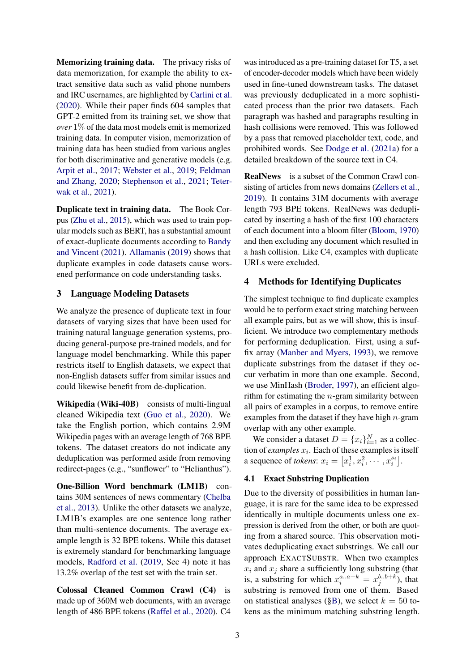Memorizing training data. The privacy risks of data memorization, for example the ability to extract sensitive data such as valid phone numbers and IRC usernames, are highlighted by [Carlini et al.](#page-9-8) [\(2020\)](#page-9-8). While their paper finds 604 samples that GPT-2 emitted from its training set, we show that *over* 1% of the data most models emit is memorized training data. In computer vision, memorization of training data has been studied from various angles for both discriminative and generative models (e.g. [Arpit et al.,](#page-9-9) [2017;](#page-9-9) [Webster et al.,](#page-10-11) [2019;](#page-10-11) [Feldman](#page-9-10) [and Zhang,](#page-9-10) [2020;](#page-9-10) [Stephenson et al.,](#page-10-12) [2021;](#page-10-12) [Teter](#page-10-13)[wak et al.,](#page-10-13) [2021\)](#page-10-13).

Duplicate text in training data. The Book Corpus [\(Zhu et al.,](#page-10-14) [2015\)](#page-10-14), which was used to train popular models such as BERT, has a substantial amount of exact-duplicate documents according to [Bandy](#page-9-11) [and Vincent](#page-9-11) [\(2021\)](#page-9-11). [Allamanis](#page-8-0) [\(2019\)](#page-8-0) shows that duplicate examples in code datasets cause worsened performance on code understanding tasks.

## 3 Language Modeling Datasets

We analyze the presence of duplicate text in four datasets of varying sizes that have been used for training natural language generation systems, producing general-purpose pre-trained models, and for language model benchmarking. While this paper restricts itself to English datasets, we expect that non-English datasets suffer from similar issues and could likewise benefit from de-duplication.

Wikipedia (Wiki-40B) consists of multi-lingual cleaned Wikipedia text [\(Guo et al.,](#page-9-6) [2020\)](#page-9-6). We take the English portion, which contains 2.9M Wikipedia pages with an average length of 768 BPE tokens. The dataset creators do not indicate any deduplication was performed aside from removing redirect-pages (e.g., "sunflower" to "Helianthus").

One-Billion Word benchmark (LM1B) contains 30M sentences of news commentary [\(Chelba](#page-9-0) [et al.,](#page-9-0) [2013\)](#page-9-0). Unlike the other datasets we analyze, LM1B's examples are one sentence long rather than multi-sentence documents. The average example length is 32 BPE tokens. While this dataset is extremely standard for benchmarking language models, [Radford et al.](#page-10-6) [\(2019,](#page-10-6) Sec 4) note it has 13.2% overlap of the test set with the train set.

Colossal Cleaned Common Crawl (C4) is made up of 360M web documents, with an average length of 486 BPE tokens [\(Raffel et al.,](#page-10-3) [2020\)](#page-10-3). C4 was introduced as a pre-training dataset for T5, a set of encoder-decoder models which have been widely used in fine-tuned downstream tasks. The dataset was previously deduplicated in a more sophisticated process than the prior two datasets. Each paragraph was hashed and paragraphs resulting in hash collisions were removed. This was followed by a pass that removed placeholder text, code, and prohibited words. See [Dodge et al.](#page-9-4) [\(2021a\)](#page-9-4) for a detailed breakdown of the source text in C4.

RealNews is a subset of the Common Crawl consisting of articles from news domains [\(Zellers et al.,](#page-10-8) [2019\)](#page-10-8). It contains 31M documents with average length 793 BPE tokens. RealNews was deduplicated by inserting a hash of the first 100 characters of each document into a bloom filter [\(Bloom,](#page-9-12) [1970\)](#page-9-12) and then excluding any document which resulted in a hash collision. Like C4, examples with duplicate URLs were excluded.

## <span id="page-2-1"></span>4 Methods for Identifying Duplicates

The simplest technique to find duplicate examples would be to perform exact string matching between all example pairs, but as we will show, this is insufficient. We introduce two complementary methods for performing deduplication. First, using a suffix array [\(Manber and Myers,](#page-10-15) [1993\)](#page-10-15), we remove duplicate substrings from the dataset if they occur verbatim in more than one example. Second, we use MinHash [\(Broder,](#page-9-5) [1997\)](#page-9-5), an efficient algorithm for estimating the  $n$ -gram similarity between all pairs of examples in a corpus, to remove entire examples from the dataset if they have high  $n$ -gram overlap with any other example.

We consider a dataset  $D = \{x_i\}_{i=1}^N$  as a collection of *examples*  $x_i$ . Each of these examples is itself a sequence of *tokens*:  $x_i = \left[x_i^1, x_i^2, \cdots, x_i^{s_i}\right]$ .

## <span id="page-2-0"></span>4.1 Exact Substring Duplication

Due to the diversity of possibilities in human language, it is rare for the same idea to be expressed identically in multiple documents unless one expression is derived from the other, or both are quoting from a shared source. This observation motivates deduplicating exact substrings. We call our approach EXACTSUBSTR. When two examples  $x_i$  and  $x_j$  share a sufficiently long substring (that is, a substring for which  $x_i^{a...a+k} = x_j^{b...b+k}$ , that substring is removed from one of them. Based on statistical analyses ([§B\)](#page-13-0), we select  $k = 50$  tokens as the minimum matching substring length.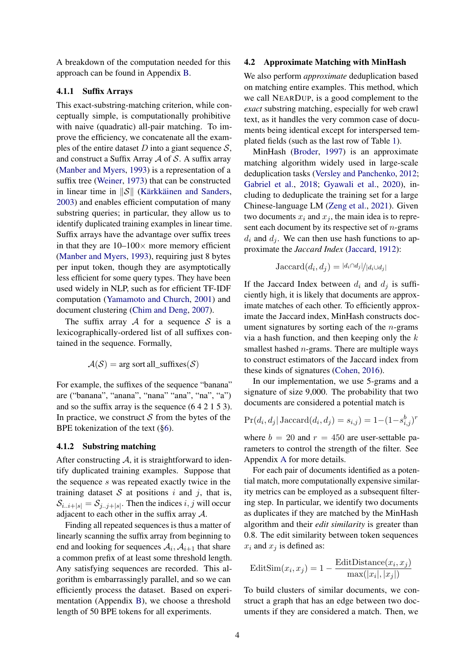A breakdown of the computation needed for this approach can be found in Appendix [B.](#page-12-0)

## 4.1.1 Suffix Arrays

This exact-substring-matching criterion, while conceptually simple, is computationally prohibitive with naive (quadratic) all-pair matching. To improve the efficiency, we concatenate all the examples of the entire dataset D into a giant sequence  $S$ , and construct a Suffix Array  $A$  of  $S$ . A suffix array [\(Manber and Myers,](#page-10-15) [1993\)](#page-10-15) is a representation of a suffix tree [\(Weiner,](#page-10-16) [1973\)](#page-10-16) that can be constructed in linear time in  $\|\mathcal{S}\|$  [\(Kärkkäinen and Sanders,](#page-10-17) [2003\)](#page-10-17) and enables efficient computation of many substring queries; in particular, they allow us to identify duplicated training examples in linear time. Suffix arrays have the advantage over suffix trees in that they are  $10-100\times$  more memory efficient [\(Manber and Myers,](#page-10-15) [1993\)](#page-10-15), requiring just 8 bytes per input token, though they are asymptotically less efficient for some query types. They have been used widely in NLP, such as for efficient TF-IDF computation [\(Yamamoto and Church,](#page-10-18) [2001\)](#page-10-18) and document clustering [\(Chim and Deng,](#page-9-13) [2007\)](#page-9-13).

The suffix array A for a sequence S is a lexicographically-ordered list of all suffixes contained in the sequence. Formally,

$$
\mathcal{A}(\mathcal{S}) = \arg \text{sort all\_suffixes}(\mathcal{S})
$$

For example, the suffixes of the sequence "banana" are ("banana", "anana", "nana" "ana", "na", "a") and so the suffix array is the sequence (6 4 2 1 5 3). In practice, we construct  $S$  from the bytes of the BPE tokenization of the text ([§6\)](#page-5-1).

#### 4.1.2 Substring matching

After constructing  $A$ , it is straightforward to identify duplicated training examples. Suppose that the sequence s was repeated exactly twice in the training dataset  $S$  at positions i and j, that is,  $\mathcal{S}_{i..i+|s|} = \mathcal{S}_{j..j+|s|}$ . Then the indices  $i, j$  will occur adjacent to each other in the suffix array A.

Finding all repeated sequences is thus a matter of linearly scanning the suffix array from beginning to end and looking for sequences  $A_i$ ,  $A_{i+1}$  that share a common prefix of at least some threshold length. Any satisfying sequences are recorded. This algorithm is embarrassingly parallel, and so we can efficiently process the dataset. Based on experimentation (Appendix [B\)](#page-13-0), we choose a threshold length of 50 BPE tokens for all experiments.

### <span id="page-3-0"></span>4.2 Approximate Matching with MinHash

We also perform *approximate* deduplication based on matching entire examples. This method, which we call NEARDUP, is a good complement to the *exact* substring matching, especially for web crawl text, as it handles the very common case of documents being identical except for interspersed templated fields (such as the last row of Table [1\)](#page-4-1).

MinHash [\(Broder,](#page-9-5) [1997\)](#page-9-5) is an approximate matching algorithm widely used in large-scale deduplication tasks [\(Versley and Panchenko,](#page-10-19) [2012;](#page-10-19) [Gabriel et al.,](#page-9-14) [2018;](#page-9-14) [Gyawali et al.,](#page-9-15) [2020\)](#page-9-15), including to deduplicate the training set for a large Chinese-language LM [\(Zeng et al.,](#page-10-9) [2021\)](#page-10-9). Given two documents  $x_i$  and  $x_j$ , the main idea is to represent each document by its respective set of  $n$ -grams  $d_i$  and  $d_j$ . We can then use hash functions to approximate the *Jaccard Index* [\(Jaccard,](#page-9-16) [1912\)](#page-9-16):

$$
Jaccard(d_i, d_j) = |d_i \cap d_j|/|d_i \cup d_j|
$$

If the Jaccard Index between  $d_i$  and  $d_j$  is sufficiently high, it is likely that documents are approximate matches of each other. To efficiently approximate the Jaccard index, MinHash constructs document signatures by sorting each of the  $n$ -grams via a hash function, and then keeping only the  $k$ smallest hashed  $n$ -grams. There are multiple ways to construct estimators of the Jaccard index from these kinds of signatures [\(Cohen,](#page-9-17) [2016\)](#page-9-17).

In our implementation, we use 5-grams and a signature of size 9,000. The probability that two documents are considered a potential match is

$$
Pr(d_i, d_j | \text{Jaccard}(d_i, d_j) = s_{i,j}) = 1 - (1 - s_{i,j}^b)^r
$$

where  $b = 20$  and  $r = 450$  are user-settable parameters to control the strength of the filter. See Appendix [A](#page-12-1) for more details.

For each pair of documents identified as a potential match, more computationally expensive similarity metrics can be employed as a subsequent filtering step. In particular, we identify two documents as duplicates if they are matched by the MinHash algorithm and their *edit similarity* is greater than 0.8. The edit similarity between token sequences  $x_i$  and  $x_j$  is defined as:

$$
EditSim(x_i, x_j) = 1 - \frac{EditDistance(x_i, x_j)}{max(|x_i|, |x_j|)}
$$

To build clusters of similar documents, we construct a graph that has an edge between two documents if they are considered a match. Then, we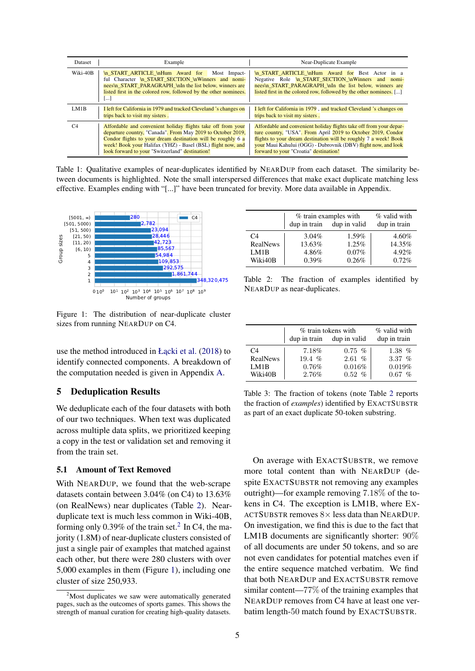<span id="page-4-1"></span>

| Dataset        | Example                                                                                                                                                                                                                                                                                                       | Near-Duplicate Example                                                                                                                                                                                                                                                                                              |  |
|----------------|---------------------------------------------------------------------------------------------------------------------------------------------------------------------------------------------------------------------------------------------------------------------------------------------------------------|---------------------------------------------------------------------------------------------------------------------------------------------------------------------------------------------------------------------------------------------------------------------------------------------------------------------|--|
| Wiki-40B       | \n START ARTICLE \nHum Award for<br>Most Impact-<br>ful Character \n START SECTION \nWinners and nomi-<br>nees\n START PARAGRAPH \nIn the list below, winners are<br>listed first in the colored row, followed by the other nominees.<br>II                                                                   | In START ARTICLE In Hum Award for Best Actor in a<br>Negative Role In START SECTION In Winners and<br>nomi-<br>nees\n START PARAGRAPH \nIn the list below, winners are<br>listed first in the colored row, followed by the other nominees. []                                                                       |  |
| LM1B           | I left for California in 1979 and tracked Cleveland 's changes on<br>trips back to visit my sisters.                                                                                                                                                                                                          | I left for California in 1979, and tracked Cleveland 's changes on<br>trips back to visit my sisters.                                                                                                                                                                                                               |  |
| C <sub>4</sub> | Affordable and convenient holiday flights take off from your<br>departure country, "Canada". From May 2019 to October 2019,<br>Condor flights to your dream destination will be roughly 6 a<br>week! Book your Halifax (YHZ) - Basel (BSL) flight now, and<br>look forward to your "Switzerland" destination! | Affordable and convenient holiday flights take off from your depar-<br>ture country, "USA". From April 2019 to October 2019, Condor<br>flights to your dream destination will be roughly 7 a week! Book<br>your Maui Kahului (OGG) - Dubrovnik (DBV) flight now, and look<br>forward to your "Croatia" destination! |  |

Table 1: Qualitative examples of near-duplicates identified by NEARDUP from each dataset. The similarity between documents is highlighted. Note the small interspersed differences that make exact duplicate matching less effective. Examples ending with "[...]" have been truncated for brevity. More data available in Appendix.

<span id="page-4-4"></span>

<span id="page-4-2"></span>dup in train dup in valid dup in train C4  $3.04\%$   $1.59\%$   $4.60\%$ RealNews 13.63%  $1.25\%$  14.35% LM1B  $4.86\%$  0.07% 4.92%<br>Wiki40B 0.39% 0.26% 0.72% Wiki40B 0.39% 0.26% 0.72%

 $%$  train examples with  $%$  valid with

Table 2: The fraction of examples identified by NEARDUP as near-duplicates.

|                | % train tokens with | % valid with              |              |  |
|----------------|---------------------|---------------------------|--------------|--|
|                |                     | dup in train dup in valid | dup in train |  |
| C <sub>4</sub> | 7.18%               | $0.75~\%$                 | 1.38 $%$     |  |
| RealNews       | 19.4 $%$            | 2.61~%                    | 3.37 $%$     |  |
| LM1B           | 0.76%               | 0.016%                    | 0.019%       |  |
| Wiki40B        | 2.76%               | 0.52~%                    | $\%$<br>0.67 |  |

Figure 1: The distribution of near-duplicate cluster sizes from running NEARDUP on C4.

use the method introduced in Ł $acki$  et al. [\(2018\)](#page-11-0) to identify connected components. A breakdown of the computation needed is given in Appendix [A.](#page-12-1)

### <span id="page-4-0"></span>5 Deduplication Results

We deduplicate each of the four datasets with both of our two techniques. When text was duplicated across multiple data splits, we prioritized keeping a copy in the test or validation set and removing it from the train set.

#### 5.1 Amount of Text Removed

With NEARDUP, we found that the web-scrape datasets contain between 3.04% (on C4) to 13.63% (on RealNews) near duplicates (Table [2\)](#page-4-2). Nearduplicate text is much less common in Wiki-40B, forming only  $0.39\%$  of the train set.<sup>[2](#page-4-3)</sup> In C4, the majority (1.8M) of near-duplicate clusters consisted of just a single pair of examples that matched against each other, but there were 280 clusters with over 5,000 examples in them (Figure [1\)](#page-4-4), including one cluster of size 250,933.

Table 3: The fraction of tokens (note Table [2](#page-4-2) reports the fraction of *examples*) identified by EXACTSUBSTR as part of an exact duplicate 50-token substring.

On average with EXACTSUBSTR, we remove more total content than with NEARDUP (despite EXACTSUBSTR not removing any examples outright)—for example removing 7.18% of the tokens in C4. The exception is LM1B, where EX-ACTSUBSTR removes  $8 \times$  less data than NEARDUP. On investigation, we find this is due to the fact that LM1B documents are significantly shorter: 90% of all documents are under 50 tokens, and so are not even candidates for potential matches even if the entire sequence matched verbatim. We find that both NEARDUP and EXACTSUBSTR remove similar content—77% of the training examples that NEARDUP removes from C4 have at least one verbatim length-50 match found by EXACTSUBSTR.

<span id="page-4-3"></span> $2^2$ Most duplicates we saw were automatically generated pages, such as the outcomes of sports games. This shows the strength of manual curation for creating high-quality datasets.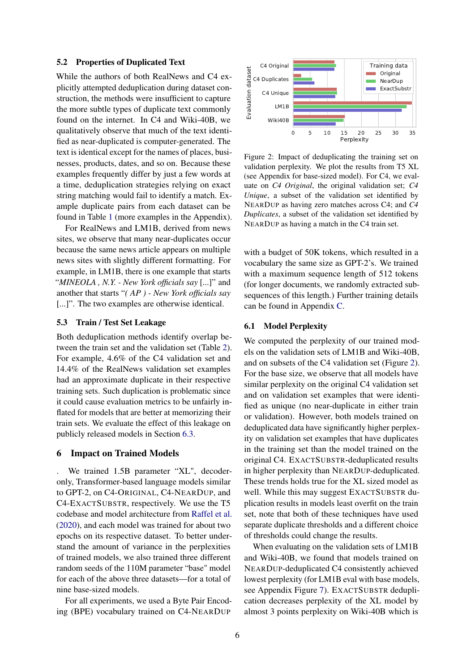#### 5.2 Properties of Duplicated Text

While the authors of both RealNews and C4 explicitly attempted deduplication during dataset construction, the methods were insufficient to capture the more subtle types of duplicate text commonly found on the internet. In C4 and Wiki-40B, we qualitatively observe that much of the text identified as near-duplicated is computer-generated. The text is identical except for the names of places, businesses, products, dates, and so on. Because these examples frequently differ by just a few words at a time, deduplication strategies relying on exact string matching would fail to identify a match. Example duplicate pairs from each dataset can be found in Table [1](#page-4-1) (more examples in the Appendix).

For RealNews and LM1B, derived from news sites, we observe that many near-duplicates occur because the same news article appears on multiple news sites with slightly different formatting. For example, in LM1B, there is one example that starts "*MINEOLA , N.Y. - New York officials say* [...]" and another that starts "*( AP ) - New York officials say* [...]". The two examples are otherwise identical.

#### 5.3 Train / Test Set Leakage

Both deduplication methods identify overlap between the train set and the validation set (Table [2\)](#page-4-2). For example, 4.6% of the C4 validation set and 14.4% of the RealNews validation set examples had an approximate duplicate in their respective training sets. Such duplication is problematic since it could cause evaluation metrics to be unfairly inflated for models that are better at memorizing their train sets. We evaluate the effect of this leakage on publicly released models in Section [6.3.](#page-6-1)

#### <span id="page-5-1"></span>6 Impact on Trained Models

We trained 1.5B parameter "XL", decoderonly, Transformer-based language models similar to GPT-2, on C4-ORIGINAL, C4-NEARDUP, and C4-EXACTSUBSTR, respectively. We use the T5 codebase and model architecture from [Raffel et al.](#page-10-3) [\(2020\)](#page-10-3), and each model was trained for about two epochs on its respective dataset. To better understand the amount of variance in the perplexities of trained models, we also trained three different random seeds of the 110M parameter "base" model for each of the above three datasets—for a total of nine base-sized models.

For all experiments, we used a Byte Pair Encoding (BPE) vocabulary trained on C4-NEARDUP

<span id="page-5-2"></span>

Figure 2: Impact of deduplicating the training set on validation perplexity. We plot the results from T5 XL (see Appendix for base-sized model). For C4, we evaluate on *C4 Original*, the original validation set; *C4 Unique*, a subset of the validation set identified by NEARDUP as having zero matches across C4; and *C4 Duplicates*, a subset of the validation set identified by NEARDUP as having a match in the C4 train set.

with a budget of 50K tokens, which resulted in a vocabulary the same size as GPT-2's. We trained with a maximum sequence length of 512 tokens (for longer documents, we randomly extracted subsequences of this length.) Further training details can be found in Appendix [C.](#page-14-0)

#### <span id="page-5-0"></span>6.1 Model Perplexity

We computed the perplexity of our trained models on the validation sets of LM1B and Wiki-40B, and on subsets of the C4 validation set (Figure [2\)](#page-5-2). For the base size, we observe that all models have similar perplexity on the original C4 validation set and on validation set examples that were identified as unique (no near-duplicate in either train or validation). However, both models trained on deduplicated data have significantly higher perplexity on validation set examples that have duplicates in the training set than the model trained on the original C4. EXACTSUBSTR-deduplicated results in higher perplexity than NEARDUP-deduplicated. These trends holds true for the XL sized model as well. While this may suggest EXACTSUBSTR duplication results in models least overfit on the train set, note that both of these techniques have used separate duplicate thresholds and a different choice of thresholds could change the results.

When evaluating on the validation sets of LM1B and Wiki-40B, we found that models trained on NEARDUP-deduplicated C4 consistently achieved lowest perplexity (for LM1B eval with base models, see Appendix Figure [7\)](#page-18-0). EXACTSUBSTR deduplication decreases perplexity of the XL model by almost 3 points perplexity on Wiki-40B which is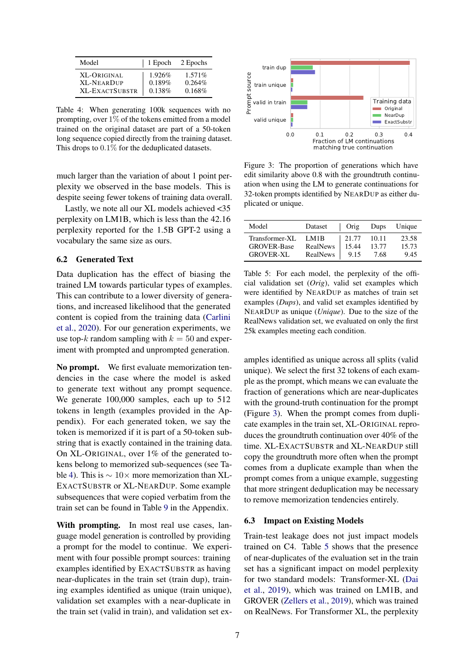<span id="page-6-2"></span>

| Model                 | 1 Epoch | 2 Epochs  |
|-----------------------|---------|-----------|
| XL-ORIGINAL           | 1.926\% | $1.571\%$ |
| <b>XL-NEARDUP</b>     | 0.189%  | 0.264%    |
| <b>XL-EXACTSUBSTR</b> | 0.138%  | 0.168%    |

Table 4: When generating 100k sequences with no prompting, over 1% of the tokens emitted from a model trained on the original dataset are part of a 50-token long sequence copied directly from the training dataset. This drops to 0.1% for the deduplicated datasets.

much larger than the variation of about 1 point perplexity we observed in the base models. This is despite seeing fewer tokens of training data overall.

Lastly, we note all our XL models achieved <35 perplexity on LM1B, which is less than the 42.16 perplexity reported for the 1.5B GPT-2 using a vocabulary the same size as ours.

### <span id="page-6-0"></span>6.2 Generated Text

Data duplication has the effect of biasing the trained LM towards particular types of examples. This can contribute to a lower diversity of generations, and increased likelihood that the generated content is copied from the training data [\(Carlini](#page-9-8) [et al.,](#page-9-8) [2020\)](#page-9-8). For our generation experiments, we use top-k random sampling with  $k = 50$  and experiment with prompted and unprompted generation.

No prompt. We first evaluate memorization tendencies in the case where the model is asked to generate text without any prompt sequence. We generate  $100,000$  samples, each up to 512 tokens in length (examples provided in the Appendix). For each generated token, we say the token is memorized if it is part of a 50-token substring that is exactly contained in the training data. On XL-ORIGINAL, over 1% of the generated tokens belong to memorized sub-sequences (see Table [4\)](#page-6-2). This is ∼ 10× more memorization than XL-EXACTSUBSTR or XL-NEARDUP. Some example subsequences that were copied verbatim from the train set can be found in Table [9](#page-17-0) in the Appendix.

With prompting. In most real use cases, language model generation is controlled by providing a prompt for the model to continue. We experiment with four possible prompt sources: training examples identified by EXACTSUBSTR as having near-duplicates in the train set (train dup), training examples identified as unique (train unique), validation set examples with a near-duplicate in the train set (valid in train), and validation set ex-

<span id="page-6-3"></span>

Figure 3: The proportion of generations which have edit similarity above 0.8 with the groundtruth continuation when using the LM to generate continuations for 32-token prompts identified by NEARDUP as either duplicated or unique.

<span id="page-6-4"></span>

| Model              | Dataset  | Orig  | Dups  | Unique |
|--------------------|----------|-------|-------|--------|
| Transformer-XL     | LM1B     | 21.77 | 10.11 | 23.58  |
| <b>GROVER-Base</b> | RealNews | 15.44 | 13.77 | 15.73  |
| <b>GROVER-XL</b>   | RealNews | 9.15  | 7.68  | 9.45   |

Table 5: For each model, the perplexity of the official validation set (*Orig*), valid set examples which were identified by NEARDUP as matches of train set examples (*Dups*), and valid set examples identified by NEARDUP as unique (*Unique*). Due to the size of the RealNews validation set, we evaluated on only the first 25k examples meeting each condition.

amples identified as unique across all splits (valid unique). We select the first 32 tokens of each example as the prompt, which means we can evaluate the fraction of generations which are near-duplicates with the ground-truth continuation for the prompt (Figure [3\)](#page-6-3). When the prompt comes from duplicate examples in the train set, XL-ORIGINAL reproduces the groundtruth continuation over 40% of the time. XL-EXACTSUBSTR and XL-NEARDUP still copy the groundtruth more often when the prompt comes from a duplicate example than when the prompt comes from a unique example, suggesting that more stringent deduplication may be necessary to remove memorization tendencies entirely.

#### <span id="page-6-1"></span>6.3 Impact on Existing Models

Train-test leakage does not just impact models trained on C4. Table [5](#page-6-4) shows that the presence of near-duplicates of the evaluation set in the train set has a significant impact on model perplexity for two standard models: Transformer-XL [\(Dai](#page-9-18) [et al.,](#page-9-18) [2019\)](#page-9-18), which was trained on LM1B, and GROVER [\(Zellers et al.,](#page-10-8) [2019\)](#page-10-8), which was trained on RealNews. For Transformer XL, the perplexity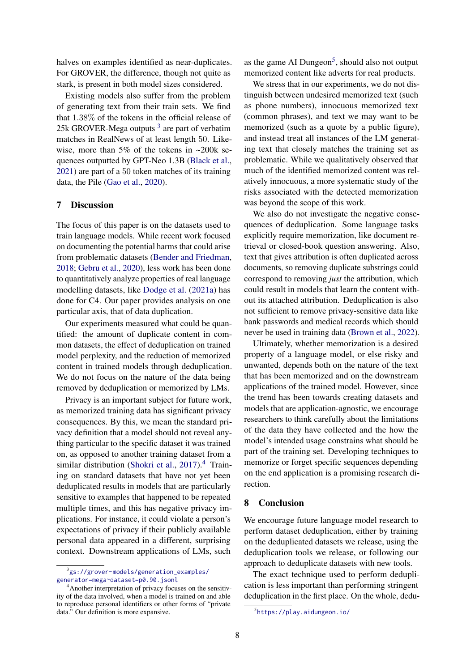halves on examples identified as near-duplicates. For GROVER, the difference, though not quite as stark, is present in both model sizes considered.

Existing models also suffer from the problem of generating text from their train sets. We find that 1.38% of the tokens in the official release of 25k GROVER-Mega outputs<sup>[3](#page-7-0)</sup> are part of verbatim matches in RealNews of at least length 50. Likewise, more than 5% of the tokens in ~200k sequences outputted by GPT-Neo 1.3B [\(Black et al.,](#page-9-19) [2021\)](#page-9-19) are part of a 50 token matches of its training data, the Pile [\(Gao et al.,](#page-9-20) [2020\)](#page-9-20).

## 7 Discussion

The focus of this paper is on the datasets used to train language models. While recent work focused on documenting the potential harms that could arise from problematic datasets [\(Bender and Friedman,](#page-9-21) [2018;](#page-9-21) [Gebru et al.,](#page-9-22) [2020\)](#page-9-22), less work has been done to quantitatively analyze properties of real language modelling datasets, like [Dodge et al.](#page-9-4) [\(2021a\)](#page-9-4) has done for C4. Our paper provides analysis on one particular axis, that of data duplication.

Our experiments measured what could be quantified: the amount of duplicate content in common datasets, the effect of deduplication on trained model perplexity, and the reduction of memorized content in trained models through deduplication. We do not focus on the nature of the data being removed by deduplication or memorized by LMs.

Privacy is an important subject for future work, as memorized training data has significant privacy consequences. By this, we mean the standard privacy definition that a model should not reveal anything particular to the specific dataset it was trained on, as opposed to another training dataset from a similar distribution [\(Shokri et al.,](#page-10-20) [2017\)](#page-10-20).<sup>[4](#page-7-1)</sup> Training on standard datasets that have not yet been deduplicated results in models that are particularly sensitive to examples that happened to be repeated multiple times, and this has negative privacy implications. For instance, it could violate a person's expectations of privacy if their publicly available personal data appeared in a different, surprising context. Downstream applications of LMs, such

as the game AI Dungeon<sup>[5](#page-7-2)</sup>, should also not output memorized content like adverts for real products.

We stress that in our experiments, we do not distinguish between undesired memorized text (such as phone numbers), innocuous memorized text (common phrases), and text we may want to be memorized (such as a quote by a public figure), and instead treat all instances of the LM generating text that closely matches the training set as problematic. While we qualitatively observed that much of the identified memorized content was relatively innocuous, a more systematic study of the risks associated with the detected memorization was beyond the scope of this work.

We also do not investigate the negative consequences of deduplication. Some language tasks explicitly require memorization, like document retrieval or closed-book question answering. Also, text that gives attribution is often duplicated across documents, so removing duplicate substrings could correspond to removing *just* the attribution, which could result in models that learn the content without its attached attribution. Deduplication is also not sufficient to remove privacy-sensitive data like bank passwords and medical records which should never be used in training data [\(Brown et al.,](#page-9-23) [2022\)](#page-9-23).

Ultimately, whether memorization is a desired property of a language model, or else risky and unwanted, depends both on the nature of the text that has been memorized and on the downstream applications of the trained model. However, since the trend has been towards creating datasets and models that are application-agnostic, we encourage researchers to think carefully about the limitations of the data they have collected and the how the model's intended usage constrains what should be part of the training set. Developing techniques to memorize or forget specific sequences depending on the end application is a promising research direction.

#### 8 Conclusion

We encourage future language model research to perform dataset deduplication, either by training on the deduplicated datasets we release, using the deduplication tools we release, or following our approach to deduplicate datasets with new tools.

The exact technique used to perform deduplication is less important than performing stringent deduplication in the first place. On the whole, dedu-

<span id="page-7-0"></span><sup>3</sup> [gs://grover-models/generation\\_examples/](gs://grover-models/generation_examples/generator=mega~dataset=p0.90.jsonl) [generator=mega~dataset=p0.90.jsonl](gs://grover-models/generation_examples/generator=mega~dataset=p0.90.jsonl)

<span id="page-7-1"></span><sup>4</sup>Another interpretation of privacy focuses on the sensitivity of the data involved, when a model is trained on and able to reproduce personal identifiers or other forms of "private data." Our definition is more expansive.

<span id="page-7-2"></span><sup>5</sup> <https://play.aidungeon.io/>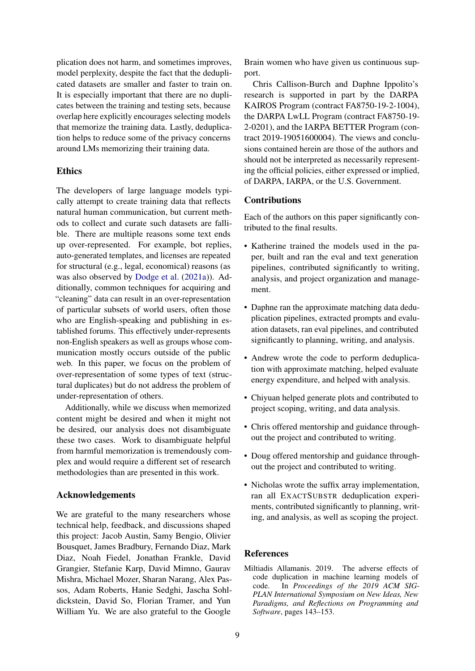plication does not harm, and sometimes improves, model perplexity, despite the fact that the deduplicated datasets are smaller and faster to train on. It is especially important that there are no duplicates between the training and testing sets, because overlap here explicitly encourages selecting models that memorize the training data. Lastly, deduplication helps to reduce some of the privacy concerns around LMs memorizing their training data.

## **Ethics**

The developers of large language models typically attempt to create training data that reflects natural human communication, but current methods to collect and curate such datasets are fallible. There are multiple reasons some text ends up over-represented. For example, bot replies, auto-generated templates, and licenses are repeated for structural (e.g., legal, economical) reasons (as was also observed by [Dodge et al.](#page-9-4) [\(2021a\)](#page-9-4)). Additionally, common techniques for acquiring and "cleaning" data can result in an over-representation of particular subsets of world users, often those who are English-speaking and publishing in established forums. This effectively under-represents non-English speakers as well as groups whose communication mostly occurs outside of the public web. In this paper, we focus on the problem of over-representation of some types of text (structural duplicates) but do not address the problem of under-representation of others.

Additionally, while we discuss when memorized content might be desired and when it might not be desired, our analysis does not disambiguate these two cases. Work to disambiguate helpful from harmful memorization is tremendously complex and would require a different set of research methodologies than are presented in this work.

## Acknowledgements

We are grateful to the many researchers whose technical help, feedback, and discussions shaped this project: Jacob Austin, Samy Bengio, Olivier Bousquet, James Bradbury, Fernando Diaz, Mark Diaz, Noah Fiedel, Jonathan Frankle, David Grangier, Stefanie Karp, David Mimno, Gaurav Mishra, Michael Mozer, Sharan Narang, Alex Passos, Adam Roberts, Hanie Sedghi, Jascha Sohldickstein, David So, Florian Tramer, and Yun William Yu. We are also grateful to the Google

Brain women who have given us continuous support.

Chris Callison-Burch and Daphne Ippolito's research is supported in part by the DARPA KAIROS Program (contract FA8750-19-2-1004), the DARPA LwLL Program (contract FA8750-19- 2-0201), and the IARPA BETTER Program (contract 2019-19051600004). The views and conclusions contained herein are those of the authors and should not be interpreted as necessarily representing the official policies, either expressed or implied, of DARPA, IARPA, or the U.S. Government.

### Contributions

Each of the authors on this paper significantly contributed to the final results.

- Katherine trained the models used in the paper, built and ran the eval and text generation pipelines, contributed significantly to writing, analysis, and project organization and management.
- Daphne ran the approximate matching data deduplication pipelines, extracted prompts and evaluation datasets, ran eval pipelines, and contributed significantly to planning, writing, and analysis.
- Andrew wrote the code to perform deduplication with approximate matching, helped evaluate energy expenditure, and helped with analysis.
- Chiyuan helped generate plots and contributed to project scoping, writing, and data analysis.
- Chris offered mentorship and guidance throughout the project and contributed to writing.
- Doug offered mentorship and guidance throughout the project and contributed to writing.
- Nicholas wrote the suffix array implementation, ran all EXACTSUBSTR deduplication experiments, contributed significantly to planning, writing, and analysis, as well as scoping the project.

#### References

<span id="page-8-0"></span>Miltiadis Allamanis. 2019. The adverse effects of code duplication in machine learning models of code. In *Proceedings of the 2019 ACM SIG-PLAN International Symposium on New Ideas, New Paradigms, and Reflections on Programming and Software*, pages 143–153.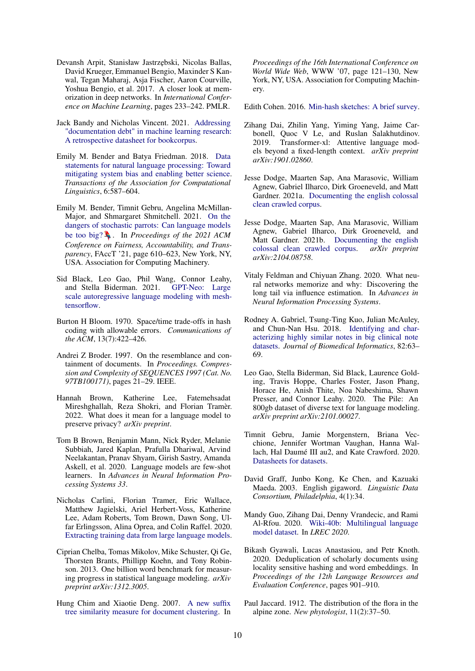- <span id="page-9-9"></span>Devansh Arpit, Stanisław Jastrzębski, Nicolas Ballas, David Krueger, Emmanuel Bengio, Maxinder S Kanwal, Tegan Maharaj, Asja Fischer, Aaron Courville, Yoshua Bengio, et al. 2017. A closer look at memorization in deep networks. In *International Conference on Machine Learning*, pages 233–242. PMLR.
- <span id="page-9-11"></span>Jack Bandy and Nicholas Vincent. 2021. [Addressing](http://arxiv.org/abs/2105.05241) ["documentation debt" in machine learning research:](http://arxiv.org/abs/2105.05241) [A retrospective datasheet for bookcorpus.](http://arxiv.org/abs/2105.05241)
- <span id="page-9-21"></span>Emily M. Bender and Batya Friedman. 2018. [Data](https://doi.org/10.1162/tacl_a_00041) [statements for natural language processing: Toward](https://doi.org/10.1162/tacl_a_00041) [mitigating system bias and enabling better science.](https://doi.org/10.1162/tacl_a_00041) *Transactions of the Association for Computational Linguistics*, 6:587–604.
- <span id="page-9-3"></span>Emily M. Bender, Timnit Gebru, Angelina McMillan-Major, and Shmargaret Shmitchell. 2021. [On the](https://doi.org/10.1145/3442188.3445922) [dangers of stochastic parrots: Can language models](https://doi.org/10.1145/3442188.3445922) [be too big?](https://doi.org/10.1145/3442188.3445922)  $\blacksquare$ . In *Proceedings of the 2021 ACM Conference on Fairness, Accountability, and Transparency*, FAccT '21, page 610–623, New York, NY, USA. Association for Computing Machinery.
- <span id="page-9-19"></span>Sid Black, Leo Gao, Phil Wang, Connor Leahy, and Stella Biderman. 2021. [GPT-Neo: Large](http://github.com/eleutherai/gpt-neo) [scale autoregressive language modeling with mesh](http://github.com/eleutherai/gpt-neo)[tensorflow.](http://github.com/eleutherai/gpt-neo)
- <span id="page-9-12"></span>Burton H Bloom. 1970. Space/time trade-offs in hash coding with allowable errors. *Communications of the ACM*, 13(7):422–426.
- <span id="page-9-5"></span>Andrei Z Broder. 1997. On the resemblance and containment of documents. In *Proceedings. Compression and Complexity of SEQUENCES 1997 (Cat. No. 97TB100171)*, pages 21–29. IEEE.
- <span id="page-9-23"></span>Hannah Brown, Katherine Lee, Fatemehsadat Mireshghallah, Reza Shokri, and Florian Tramèr. 2022. What does it mean for a language model to preserve privacy? *arXiv preprint*.
- <span id="page-9-2"></span>Tom B Brown, Benjamin Mann, Nick Ryder, Melanie Subbiah, Jared Kaplan, Prafulla Dhariwal, Arvind Neelakantan, Pranav Shyam, Girish Sastry, Amanda Askell, et al. 2020. Language models are few-shot learners. In *Advances in Neural Information Processing Systems 33*.
- <span id="page-9-8"></span>Nicholas Carlini, Florian Tramer, Eric Wallace, Matthew Jagielski, Ariel Herbert-Voss, Katherine Lee, Adam Roberts, Tom Brown, Dawn Song, Ulfar Erlingsson, Alina Oprea, and Colin Raffel. 2020. [Extracting training data from large language models.](http://arxiv.org/abs/2012.07805)
- <span id="page-9-0"></span>Ciprian Chelba, Tomas Mikolov, Mike Schuster, Qi Ge, Thorsten Brants, Phillipp Koehn, and Tony Robinson. 2013. One billion word benchmark for measuring progress in statistical language modeling. *arXiv preprint arXiv:1312.3005*.
- <span id="page-9-13"></span>Hung Chim and Xiaotie Deng. 2007. [A new suffix](https://doi.org/10.1145/1242572.1242590) [tree similarity measure for document clustering.](https://doi.org/10.1145/1242572.1242590) In

*Proceedings of the 16th International Conference on World Wide Web*, WWW '07, page 121–130, New York, NY, USA. Association for Computing Machinery.

<span id="page-9-17"></span>Edith Cohen. 2016. [Min-hash sketches: A brief survey.](http://www.cohenwang.com/edith/Surveys/minhash.pdf)

- <span id="page-9-18"></span>Zihang Dai, Zhilin Yang, Yiming Yang, Jaime Carbonell, Quoc V Le, and Ruslan Salakhutdinov. 2019. Transformer-xl: Attentive language models beyond a fixed-length context. *arXiv preprint arXiv:1901.02860*.
- <span id="page-9-4"></span>Jesse Dodge, Maarten Sap, Ana Marasovic, William Agnew, Gabriel Ilharco, Dirk Groeneveld, and Matt Gardner. 2021a. [Documenting the english colossal](http://arxiv.org/abs/2104.08758) [clean crawled corpus.](http://arxiv.org/abs/2104.08758)
- <span id="page-9-7"></span>Jesse Dodge, Maarten Sap, Ana Marasovic, William Agnew, Gabriel Ilharco, Dirk Groeneveld, and Matt Gardner. 2021b. [Documenting the english](http://arxiv.org/abs/2104.08758) colossal clean crawled corpus. *arXiv preprint* [colossal clean crawled corpus.](http://arxiv.org/abs/2104.08758) *arXiv:2104.08758*.
- <span id="page-9-10"></span>Vitaly Feldman and Chiyuan Zhang. 2020. What neural networks memorize and why: Discovering the long tail via influence estimation. In *Advances in Neural Information Processing Systems*.
- <span id="page-9-14"></span>Rodney A. Gabriel, Tsung-Ting Kuo, Julian McAuley, and Chun-Nan Hsu. 2018. [Identifying and char](https://doi.org/https://doi.org/10.1016/j.jbi.2018.04.009)[acterizing highly similar notes in big clinical note](https://doi.org/https://doi.org/10.1016/j.jbi.2018.04.009) [datasets.](https://doi.org/https://doi.org/10.1016/j.jbi.2018.04.009) *Journal of Biomedical Informatics*, 82:63– 69.
- <span id="page-9-20"></span>Leo Gao, Stella Biderman, Sid Black, Laurence Golding, Travis Hoppe, Charles Foster, Jason Phang, Horace He, Anish Thite, Noa Nabeshima, Shawn Presser, and Connor Leahy. 2020. The Pile: An 800gb dataset of diverse text for language modeling. *arXiv preprint arXiv:2101.00027*.
- <span id="page-9-22"></span>Timnit Gebru, Jamie Morgenstern, Briana Vecchione, Jennifer Wortman Vaughan, Hanna Wallach, Hal Daumé III au2, and Kate Crawford. 2020. [Datasheets for datasets.](http://arxiv.org/abs/1803.09010)
- <span id="page-9-1"></span>David Graff, Junbo Kong, Ke Chen, and Kazuaki Maeda. 2003. English gigaword. *Linguistic Data Consortium, Philadelphia*, 4(1):34.
- <span id="page-9-6"></span>Mandy Guo, Zihang Dai, Denny Vrandecic, and Rami Al-Rfou. 2020. [Wiki-40b: Multilingual language](http://www.lrec-conf.org/proceedings/lrec2020/pdf/2020.lrec-1.296.pdf) [model dataset.](http://www.lrec-conf.org/proceedings/lrec2020/pdf/2020.lrec-1.296.pdf) In *LREC 2020*.
- <span id="page-9-15"></span>Bikash Gyawali, Lucas Anastasiou, and Petr Knoth. 2020. Deduplication of scholarly documents using locality sensitive hashing and word embeddings. In *Proceedings of the 12th Language Resources and Evaluation Conference*, pages 901–910.
- <span id="page-9-16"></span>Paul Jaccard. 1912. The distribution of the flora in the alpine zone. *New phytologist*, 11(2):37–50.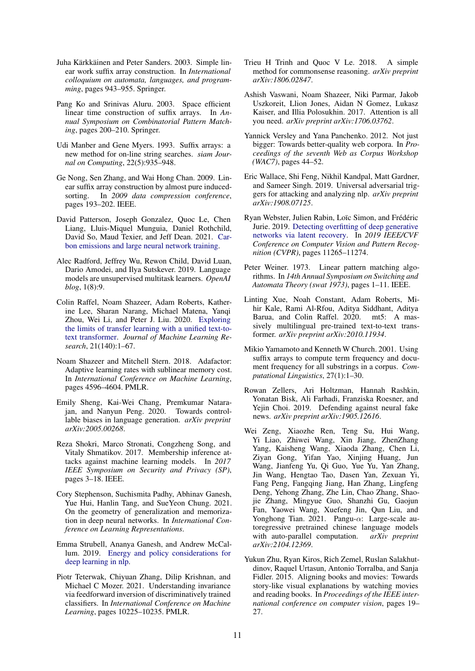- <span id="page-10-17"></span>Juha Kärkkäinen and Peter Sanders. 2003. Simple linear work suffix array construction. In *International colloquium on automata, languages, and programming*, pages 943–955. Springer.
- <span id="page-10-22"></span>Pang Ko and Srinivas Aluru. 2003. Space efficient linear time construction of suffix arrays. In *Annual Symposium on Combinatorial Pattern Matching*, pages 200–210. Springer.
- <span id="page-10-15"></span>Udi Manber and Gene Myers. 1993. Suffix arrays: a new method for on-line string searches. *siam Journal on Computing*, 22(5):935–948.
- <span id="page-10-21"></span>Ge Nong, Sen Zhang, and Wai Hong Chan. 2009. Linear suffix array construction by almost pure inducedsorting. In *2009 data compression conference*, pages 193–202. IEEE.
- <span id="page-10-5"></span>David Patterson, Joseph Gonzalez, Quoc Le, Chen Liang, Lluis-Miquel Munguia, Daniel Rothchild, David So, Maud Texier, and Jeff Dean. 2021. [Car](http://arxiv.org/abs/2104.10350)[bon emissions and large neural network training.](http://arxiv.org/abs/2104.10350)
- <span id="page-10-6"></span>Alec Radford, Jeffrey Wu, Rewon Child, David Luan, Dario Amodei, and Ilya Sutskever. 2019. Language models are unsupervised multitask learners. *OpenAI blog*, 1(8):9.
- <span id="page-10-3"></span>Colin Raffel, Noam Shazeer, Adam Roberts, Katherine Lee, Sharan Narang, Michael Matena, Yanqi Zhou, Wei Li, and Peter J. Liu. 2020. [Exploring](http://jmlr.org/papers/v21/20-074.html) [the limits of transfer learning with a unified text-to](http://jmlr.org/papers/v21/20-074.html)[text transformer.](http://jmlr.org/papers/v21/20-074.html) *Journal of Machine Learning Research*, 21(140):1–67.
- <span id="page-10-23"></span>Noam Shazeer and Mitchell Stern. 2018. Adafactor: Adaptive learning rates with sublinear memory cost. In *International Conference on Machine Learning*, pages 4596–4604. PMLR.
- <span id="page-10-2"></span>Emily Sheng, Kai-Wei Chang, Premkumar Natarajan, and Nanyun Peng. 2020. Towards controllable biases in language generation. *arXiv preprint arXiv:2005.00268*.
- <span id="page-10-20"></span>Reza Shokri, Marco Stronati, Congzheng Song, and Vitaly Shmatikov. 2017. Membership inference attacks against machine learning models. In *2017 IEEE Symposium on Security and Privacy (SP)*, pages 3–18. IEEE.
- <span id="page-10-12"></span>Cory Stephenson, Suchismita Padhy, Abhinav Ganesh, Yue Hui, Hanlin Tang, and SueYeon Chung. 2021. On the geometry of generalization and memorization in deep neural networks. In *International Conference on Learning Representations*.
- <span id="page-10-4"></span>Emma Strubell, Ananya Ganesh, and Andrew McCallum. 2019. [Energy and policy considerations for](http://arxiv.org/abs/1906.02243) [deep learning in nlp.](http://arxiv.org/abs/1906.02243)
- <span id="page-10-13"></span>Piotr Teterwak, Chiyuan Zhang, Dilip Krishnan, and Michael C Mozer. 2021. Understanding invariance via feedforward inversion of discriminatively trained classifiers. In *International Conference on Machine Learning*, pages 10225–10235. PMLR.
- <span id="page-10-10"></span>Trieu H Trinh and Quoc V Le. 2018. A simple method for commonsense reasoning. *arXiv preprint arXiv:1806.02847*.
- <span id="page-10-7"></span>Ashish Vaswani, Noam Shazeer, Niki Parmar, Jakob Uszkoreit, Llion Jones, Aidan N Gomez, Lukasz Kaiser, and Illia Polosukhin. 2017. Attention is all you need. *arXiv preprint arXiv:1706.03762*.
- <span id="page-10-19"></span>Yannick Versley and Yana Panchenko. 2012. Not just bigger: Towards better-quality web corpora. In *Proceedings of the seventh Web as Corpus Workshop (WAC7)*, pages 44–52.
- <span id="page-10-1"></span>Eric Wallace, Shi Feng, Nikhil Kandpal, Matt Gardner, and Sameer Singh. 2019. Universal adversarial triggers for attacking and analyzing nlp. *arXiv preprint arXiv:1908.07125*.
- <span id="page-10-11"></span>Ryan Webster, Julien Rabin, Loïc Simon, and Frédéric Jurie. 2019. [Detecting overfitting of deep generative](https://doi.org/10.1109/CVPR.2019.01153) [networks via latent recovery.](https://doi.org/10.1109/CVPR.2019.01153) In *2019 IEEE/CVF Conference on Computer Vision and Pattern Recognition (CVPR)*, pages 11265–11274.
- <span id="page-10-16"></span>Peter Weiner. 1973. Linear pattern matching algorithms. In *14th Annual Symposium on Switching and Automata Theory (swat 1973)*, pages 1–11. IEEE.
- <span id="page-10-0"></span>Linting Xue, Noah Constant, Adam Roberts, Mihir Kale, Rami Al-Rfou, Aditya Siddhant, Aditya Barua, and Colin Raffel. 2020. mt5: A massively multilingual pre-trained text-to-text transformer. *arXiv preprint arXiv:2010.11934*.
- <span id="page-10-18"></span>Mikio Yamamoto and Kenneth W Church. 2001. Using suffix arrays to compute term frequency and document frequency for all substrings in a corpus. *Computational Linguistics*, 27(1):1–30.
- <span id="page-10-8"></span>Rowan Zellers, Ari Holtzman, Hannah Rashkin, Yonatan Bisk, Ali Farhadi, Franziska Roesner, and Yejin Choi. 2019. Defending against neural fake news. *arXiv preprint arXiv:1905.12616*.
- <span id="page-10-9"></span>Wei Zeng, Xiaozhe Ren, Teng Su, Hui Wang, Yi Liao, Zhiwei Wang, Xin Jiang, ZhenZhang Yang, Kaisheng Wang, Xiaoda Zhang, Chen Li, Ziyan Gong, Yifan Yao, Xinjing Huang, Jun Wang, Jianfeng Yu, Qi Guo, Yue Yu, Yan Zhang, Jin Wang, Hengtao Tao, Dasen Yan, Zexuan Yi, Fang Peng, Fangqing Jiang, Han Zhang, Lingfeng Deng, Yehong Zhang, Zhe Lin, Chao Zhang, Shaojie Zhang, Mingyue Guo, Shanzhi Gu, Gaojun Fan, Yaowei Wang, Xuefeng Jin, Qun Liu, and Yonghong Tian. 2021. Pangu-α: Large-scale autoregressive pretrained chinese language models with auto-parallel computation. *arXiv preprint arXiv:2104.12369*.
- <span id="page-10-14"></span>Yukun Zhu, Ryan Kiros, Rich Zemel, Ruslan Salakhutdinov, Raquel Urtasun, Antonio Torralba, and Sanja Fidler. 2015. Aligning books and movies: Towards story-like visual explanations by watching movies and reading books. In *Proceedings of the IEEE international conference on computer vision*, pages 19– 27.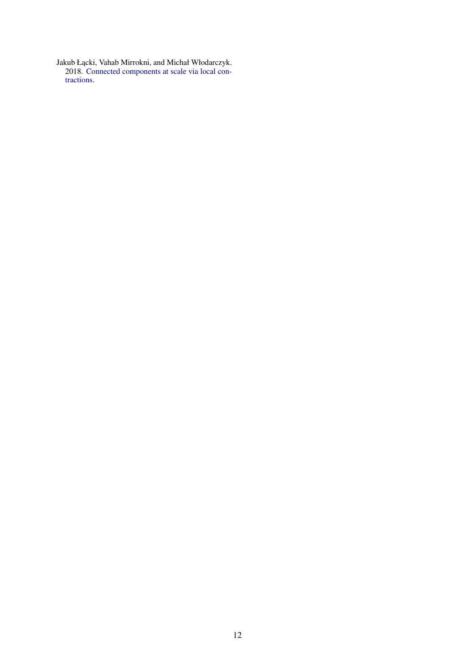<span id="page-11-0"></span>Jakub Łącki, Vahab Mirrokni, and Michał Włodarczyk. 2018. [Connected components at scale via local con](http://arxiv.org/abs/1807.10727)[tractions.](http://arxiv.org/abs/1807.10727)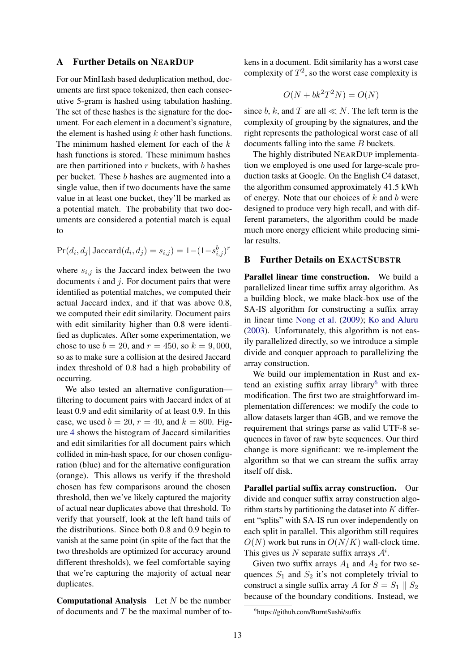#### <span id="page-12-1"></span>A Further Details on NEARDUP

For our MinHash based deduplication method, documents are first space tokenized, then each consecutive 5-gram is hashed using tabulation hashing. The set of these hashes is the signature for the document. For each element in a document's signature, the element is hashed using  $k$  other hash functions. The minimum hashed element for each of the  $k$ hash functions is stored. These minimum hashes are then partitioned into  $r$  buckets, with  $b$  hashes per bucket. These b hashes are augmented into a single value, then if two documents have the same value in at least one bucket, they'll be marked as a potential match. The probability that two documents are considered a potential match is equal to

$$
Pr(d_i, d_j | \text{Jaccard}(d_i, d_j) = s_{i,j}) = 1 - (1 - s_{i,j}^b)^r
$$

where  $s_{i,j}$  is the Jaccard index between the two documents  $i$  and  $j$ . For document pairs that were identified as potential matches, we computed their actual Jaccard index, and if that was above 0.8, we computed their edit similarity. Document pairs with edit similarity higher than 0.8 were identified as duplicates. After some experimentation, we chose to use  $b = 20$ , and  $r = 450$ , so  $k = 9,000$ , so as to make sure a collision at the desired Jaccard index threshold of 0.8 had a high probability of occurring.

We also tested an alternative configuration filtering to document pairs with Jaccard index of at least 0.9 and edit similarity of at least 0.9. In this case, we used  $b = 20$ ,  $r = 40$ , and  $k = 800$ . Figure [4](#page-13-1) shows the histogram of Jaccard similarities and edit similarities for all document pairs which collided in min-hash space, for our chosen configuration (blue) and for the alternative configuration (orange). This allows us verify if the threshold chosen has few comparisons around the chosen threshold, then we've likely captured the majority of actual near duplicates above that threshold. To verify that yourself, look at the left hand tails of the distributions. Since both 0.8 and 0.9 begin to vanish at the same point (in spite of the fact that the two thresholds are optimized for accuracy around different thresholds), we feel comfortable saying that we're capturing the majority of actual near duplicates.

**Computational Analysis** Let  $N$  be the number of documents and  $T$  be the maximal number of tokens in a document. Edit similarity has a worst case complexity of  $T^2$ , so the worst case complexity is

$$
O(N + bk^2 T^2 N) = O(N)
$$

since b, k, and T are all  $\ll N$ . The left term is the complexity of grouping by the signatures, and the right represents the pathological worst case of all documents falling into the same B buckets.

The highly distributed NEARDUP implementation we employed is one used for large-scale production tasks at Google. On the English C4 dataset, the algorithm consumed approximately 41.5 kWh of energy. Note that our choices of  $k$  and  $b$  were designed to produce very high recall, and with different parameters, the algorithm could be made much more energy efficient while producing similar results.

## <span id="page-12-0"></span>B Further Details on EXACTSUBSTR

Parallel linear time construction. We build a parallelized linear time suffix array algorithm. As a building block, we make black-box use of the SA-IS algorithm for constructing a suffix array in linear time [Nong et al.](#page-10-21) [\(2009\)](#page-10-21); [Ko and Aluru](#page-10-22) [\(2003\)](#page-10-22). Unfortunately, this algorithm is not easily parallelized directly, so we introduce a simple divide and conquer approach to parallelizing the array construction.

We build our implementation in Rust and extend an existing suffix array library $<sup>6</sup>$  $<sup>6</sup>$  $<sup>6</sup>$  with three</sup> modification. The first two are straightforward implementation differences: we modify the code to allow datasets larger than 4GB, and we remove the requirement that strings parse as valid UTF-8 sequences in favor of raw byte sequences. Our third change is more significant: we re-implement the algorithm so that we can stream the suffix array itself off disk.

Parallel partial suffix array construction. Our divide and conquer suffix array construction algorithm starts by partitioning the dataset into  $K$  different "splits" with SA-IS run over independently on each split in parallel. This algorithm still requires  $O(N)$  work but runs in  $O(N/K)$  wall-clock time. This gives us N separate suffix arrays  $A^i$ .

Given two suffix arrays  $A_1$  and  $A_2$  for two sequences  $S_1$  and  $S_2$  it's not completely trivial to construct a single suffix array A for  $S = S_1 \parallel S_2$ because of the boundary conditions. Instead, we

<span id="page-12-2"></span><sup>6</sup> https://github.com/BurntSushi/suffix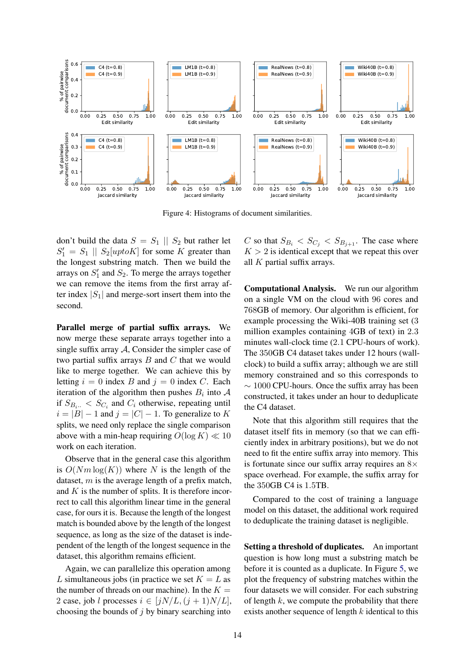<span id="page-13-1"></span>

Figure 4: Histograms of document similarities.

don't build the data  $S = S_1 || S_2$  but rather let  $S'_1 = S_1 \parallel S_2[uptoK]$  for some K greater than the longest substring match. Then we build the arrays on  $S'_1$  and  $S_2$ . To merge the arrays together we can remove the items from the first array after index  $|S_1|$  and merge-sort insert them into the second.

Parallel merge of partial suffix arrays. We now merge these separate arrays together into a single suffix array  $A$ , Consider the simpler case of two partial suffix arrays  $B$  and  $C$  that we would like to merge together. We can achieve this by letting  $i = 0$  index B and  $j = 0$  index C. Each iteration of the algorithm then pushes  $B_i$  into  $A$ if  $S_{B_i}$  <  $S_{C_i}$  and  $C_i$  otherwise, repeating until  $i = |B| - 1$  and  $j = |C| - 1$ . To generalize to K splits, we need only replace the single comparison above with a min-heap requiring  $O(\log K) \ll 10$ work on each iteration.

Observe that in the general case this algorithm is  $O(Nm \log(K))$  where N is the length of the dataset,  $m$  is the average length of a prefix match, and  $K$  is the number of splits. It is therefore incorrect to call this algorithm linear time in the general case, for ours it is. Because the length of the longest match is bounded above by the length of the longest sequence, as long as the size of the dataset is independent of the length of the longest sequence in the dataset, this algorithm remains efficient.

Again, we can parallelize this operation among L simultaneous jobs (in practice we set  $K = L$  as the number of threads on our machine). In the  $K =$ 2 case, job l processes  $i \in [iN/L, (i+1)N/L]$ , choosing the bounds of  $j$  by binary searching into C so that  $S_{B_i} < S_{C_i} < S_{B_{i+1}}$ . The case where  $K > 2$  is identical except that we repeat this over all  $K$  partial suffix arrays.

Computational Analysis. We run our algorithm on a single VM on the cloud with 96 cores and 768GB of memory. Our algorithm is efficient, for example processing the Wiki-40B training set (3 million examples containing 4GB of text) in 2.3 minutes wall-clock time (2.1 CPU-hours of work). The 350GB C4 dataset takes under 12 hours (wallclock) to build a suffix array; although we are still memory constrained and so this corresponds to ∼ 1000 CPU-hours. Once the suffix array has been constructed, it takes under an hour to deduplicate the C4 dataset.

Note that this algorithm still requires that the dataset itself fits in memory (so that we can efficiently index in arbitrary positions), but we do not need to fit the entire suffix array into memory. This is fortunate since our suffix array requires an  $8\times$ space overhead. For example, the suffix array for the 350GB C4 is 1.5TB.

Compared to the cost of training a language model on this dataset, the additional work required to deduplicate the training dataset is negligible.

<span id="page-13-0"></span>Setting a threshold of duplicates. An important question is how long must a substring match be before it is counted as a duplicate. In Figure [5,](#page-14-1) we plot the frequency of substring matches within the four datasets we will consider. For each substring of length  $k$ , we compute the probability that there exists another sequence of length  $k$  identical to this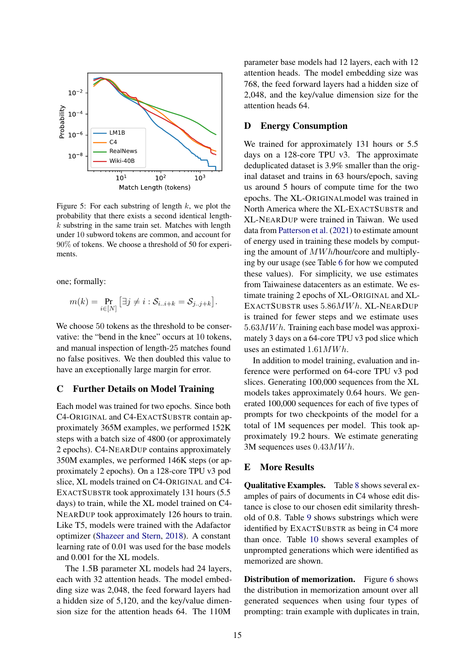<span id="page-14-1"></span>

Figure 5: For each substring of length  $k$ , we plot the probability that there exists a second identical length $k$  substring in the same train set. Matches with length under 10 subword tokens are common, and account for 90% of tokens. We choose a threshold of 50 for experiments.

one; formally:

$$
m(k) = \Pr_{i \in [N]} [\exists j \neq i : S_{i..i+k} = S_{j..j+k}].
$$

We choose 50 tokens as the threshold to be conservative: the "bend in the knee" occurs at 10 tokens, and manual inspection of length-25 matches found no false positives. We then doubled this value to have an exceptionally large margin for error.

#### <span id="page-14-0"></span>C Further Details on Model Training

Each model was trained for two epochs. Since both C4-ORIGINAL and C4-EXACTSUBSTR contain approximately 365M examples, we performed 152K steps with a batch size of 4800 (or approximately 2 epochs). C4-NEARDUP contains approximately 350M examples, we performed 146K steps (or approximately 2 epochs). On a 128-core TPU v3 pod slice, XL models trained on C4-ORIGINAL and C4- EXACTSUBSTR took approximately 131 hours (5.5 days) to train, while the XL model trained on C4- NEARDUP took approximately 126 hours to train. Like T5, models were trained with the Adafactor optimizer [\(Shazeer and Stern,](#page-10-23) [2018\)](#page-10-23). A constant learning rate of 0.01 was used for the base models and 0.001 for the XL models.

The 1.5B parameter XL models had 24 layers, each with 32 attention heads. The model embedding size was 2,048, the feed forward layers had a hidden size of 5,120, and the key/value dimension size for the attention heads 64. The 110M

parameter base models had 12 layers, each with 12 attention heads. The model embedding size was 768, the feed forward layers had a hidden size of 2,048, and the key/value dimension size for the attention heads 64.

## D Energy Consumption

We trained for approximately 131 hours or 5.5 days on a 128-core TPU v3. The approximate deduplicated dataset is 3.9% smaller than the original dataset and trains in 63 hours/epoch, saving us around 5 hours of compute time for the two epochs. The XL-ORIGINALmodel was trained in North America where the XL-EXACTSUBSTR and XL-NEARDUP were trained in Taiwan. We used data from [Patterson et al.](#page-10-5) [\(2021\)](#page-10-5) to estimate amount of energy used in training these models by computing the amount of MW h/hour/core and multiplying by our usage (see Table [6](#page-15-0) for how we computed these values). For simplicity, we use estimates from Taiwainese datacenters as an estimate. We estimate training 2 epochs of XL-ORIGINAL and XL-EXACTSUBSTR uses  $5.86MWh.$  XL-NEARDUP is trained for fewer steps and we estimate uses  $5.63MWh.$  Training each base model was approximately 3 days on a 64-core TPU v3 pod slice which uses an estimated  $1.61MWh$ .

In addition to model training, evaluation and inference were performed on 64-core TPU v3 pod slices. Generating 100,000 sequences from the XL models takes approximately 0.64 hours. We generated 100,000 sequences for each of five types of prompts for two checkpoints of the model for a total of 1M sequences per model. This took approximately 19.2 hours. We estimate generating 3M sequences uses  $0.43MWh$ .

#### E More Results

Qualitative Examples. Table [8](#page-16-0) shows several examples of pairs of documents in C4 whose edit distance is close to our chosen edit similarity threshold of 0.8. Table [9](#page-17-0) shows substrings which were identified by EXACTSUBSTR as being in C4 more than once. Table [10](#page-19-0) shows several examples of unprompted generations which were identified as memorized are shown.

Distribution of memorization. Figure [6](#page-15-1) shows the distribution in memorization amount over all generated sequences when using four types of prompting: train example with duplicates in train,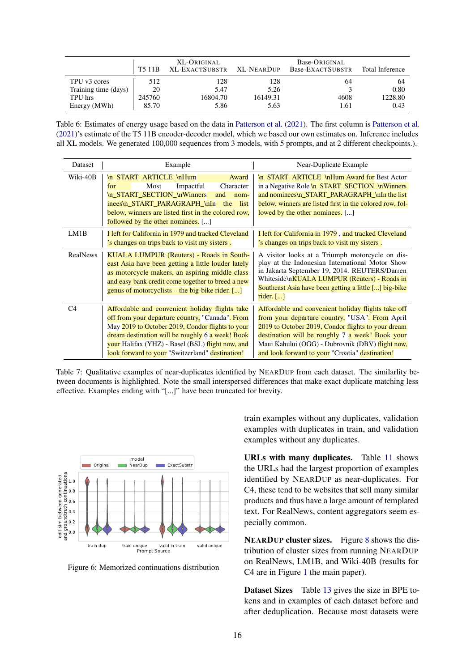<span id="page-15-0"></span>

|                      | T <sub>5</sub> 11 <sub>B</sub> | XL-ORIGINAL<br>XL-EXACTSUBSTR XL-NEARDUP |          | Base-ORIGINAL<br>Base-EXACTSUBSTR | Total Inference |
|----------------------|--------------------------------|------------------------------------------|----------|-----------------------------------|-----------------|
| TPU v3 cores         | 512                            | 128                                      | 128      | 64                                | 64              |
| Training time (days) | 20                             | 5.47                                     | 5.26     |                                   | 0.80            |
| TPU hrs              | 245760                         | 16804.70                                 | 16149.31 | 4608                              | 1228.80         |
| Energy (MWh)         | 85.70                          | 5.86                                     | 5.63     | 1.61                              | 0.43            |

Table 6: Estimates of energy usage based on the data in [Patterson et al.](#page-10-5) [\(2021\)](#page-10-5). The first column is [Patterson et al.](#page-10-5) [\(2021\)](#page-10-5)'s estimate of the T5 11B encoder-decoder model, which we based our own estimates on. Inference includes all XL models. We generated 100,000 sequences from 3 models, with 5 prompts, and at 2 different checkpoints.).

| <b>Dataset</b>  | Example                                                                                                                                                                                                                                                                                                          | Near-Duplicate Example                                                                                                                                                                                                                                                                                               |
|-----------------|------------------------------------------------------------------------------------------------------------------------------------------------------------------------------------------------------------------------------------------------------------------------------------------------------------------|----------------------------------------------------------------------------------------------------------------------------------------------------------------------------------------------------------------------------------------------------------------------------------------------------------------------|
| Wiki-40B        | In START ARTICLE InHum<br>Award<br>Impactful<br>Character<br>Most<br>for<br>\n_START_SECTION_\nWinners<br>and<br>$nom-$<br>inees\n_START_PARAGRAPH_\nIn<br>list<br>the<br>below, winners are listed first in the colored row,<br>followed by the other nominees. []                                              | In START ARTICLE InHum Award for Best Actor<br>in a Negative Role <b>\n START_SECTION_\nWinners</b><br>and nominees\n_START_PARAGRAPH_\nIn the list<br>below, winners are listed first in the colored row, fol-<br>lowed by the other nominees. []                                                                   |
| LM1B            | I left for California in 1979 and tracked Cleveland<br>'s changes on trips back to visit my sisters.                                                                                                                                                                                                             | I left for California in 1979, and tracked Cleveland<br>'s changes on trips back to visit my sisters.                                                                                                                                                                                                                |
| <b>RealNews</b> | KUALA LUMPUR (Reuters) - Roads in South-<br>east Asia have been getting a little louder lately<br>as motorcycle makers, an aspiring middle class<br>and easy bank credit come together to breed a new<br>genus of motorcyclists – the big-bike rider. $[\dots]$                                                  | A visitor looks at a Triumph motorcycle on dis-<br>play at the Indonesian International Motor Show<br>in Jakarta September 19, 2014. REUTERS/Darren<br>Whiteside\n <b>KUALA LUMPUR (Reuters) - Roads in</b><br>Southeast Asia have been getting a little [] big-bike<br>rider. $[\dots]$                             |
| C <sub>4</sub>  | Affordable and convenient holiday flights take<br>off from your departure country, "Canada". From<br>May 2019 to October 2019, Condor flights to your<br>dream destination will be roughly 6 a week! Book<br>your Halifax (YHZ) - Basel (BSL) flight now, and<br>look forward to your "Switzerland" destination! | Affordable and convenient holiday flights take off<br>from your departure country, "USA". From April<br>2019 to October 2019, Condor flights to your dream<br>destination will be roughly 7 a week! Book your<br>Maui Kahului (OGG) - Dubrovnik (DBV) flight now,<br>and look forward to your "Croatia" destination! |

Table 7: Qualitative examples of near-duplicates identified by NEARDUP from each dataset. The similarlity between documents is highlighted. Note the small interspersed differences that make exact duplicate matching less effective. Examples ending with "[...]" have been truncated for brevity.

<span id="page-15-1"></span>

Figure 6: Memorized continuations distribution

train examples without any duplicates, validation examples with duplicates in train, and validation examples without any duplicates.

URLs with many duplicates. Table [11](#page-20-0) shows the URLs had the largest proportion of examples identified by NEARDUP as near-duplicates. For C4, these tend to be websites that sell many similar products and thus have a large amount of templated text. For RealNews, content aggregators seem especially common.

NEARDUP cluster sizes. Figure [8](#page-21-0) shows the distribution of cluster sizes from running NEARDUP on RealNews, LM1B, and Wiki-40B (results for C4 are in Figure [1](#page-4-4) the main paper).

Dataset Sizes Table [13](#page-20-1) gives the size in BPE tokens and in examples of each dataset before and after deduplication. Because most datasets were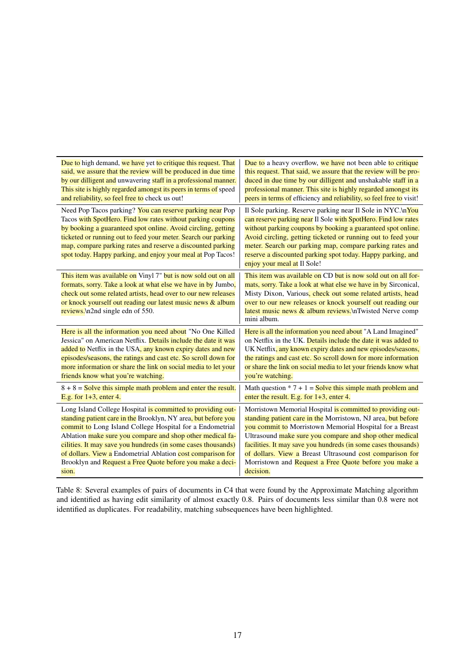<span id="page-16-0"></span>

| Due to high demand, we have yet to critique this request. That                                                                                                                                                                                                                                                                                                                                                                                              | Due to a heavy overflow, we have not been able to critique                                                                                                                                                                                                                                                                                                                                                                               |
|-------------------------------------------------------------------------------------------------------------------------------------------------------------------------------------------------------------------------------------------------------------------------------------------------------------------------------------------------------------------------------------------------------------------------------------------------------------|------------------------------------------------------------------------------------------------------------------------------------------------------------------------------------------------------------------------------------------------------------------------------------------------------------------------------------------------------------------------------------------------------------------------------------------|
| said, we assure that the review will be produced in due time                                                                                                                                                                                                                                                                                                                                                                                                | this request. That said, we assure that the review will be pro-                                                                                                                                                                                                                                                                                                                                                                          |
| by our dilligent and unwavering staff in a professional manner.                                                                                                                                                                                                                                                                                                                                                                                             | duced in due time by our dilligent and unshakable staff in a                                                                                                                                                                                                                                                                                                                                                                             |
| This site is highly regarded amongst its peers in terms of speed                                                                                                                                                                                                                                                                                                                                                                                            | professional manner. This site is highly regarded amongst its                                                                                                                                                                                                                                                                                                                                                                            |
| and reliability, so feel free to check us out!                                                                                                                                                                                                                                                                                                                                                                                                              | peers in terms of efficiency and reliability, so feel free to visit!                                                                                                                                                                                                                                                                                                                                                                     |
| Need Pop Tacos parking? You can reserve parking near Pop<br>Tacos with SpotHero. Find low rates without parking coupons<br>by booking a guaranteed spot online. Avoid circling, getting<br>ticketed or running out to feed your meter. Search our parking<br>map, compare parking rates and reserve a discounted parking<br>spot today. Happy parking, and enjoy your meal at Pop Tacos!                                                                    | Il Sole parking. Reserve parking near Il Sole in NYC.\nYou<br>can reserve parking near Il Sole with SpotHero. Find low rates<br>without parking coupons by booking a guaranteed spot online.<br>Avoid circling, getting ticketed or running out to feed your<br>meter. Search our parking map, compare parking rates and<br>reserve a discounted parking spot today. Happy parking, and<br>enjoy your meal at Il Sole!                   |
| This item was available on Vinyl 7" but is now sold out on all<br>formats, sorry. Take a look at what else we have in by Jumbo,<br>check out some related artists, head over to our new releases<br>or knock yourself out reading our latest music news & album<br>reviews.\n2nd single edn of 550.                                                                                                                                                         | This item was available on CD but is now sold out on all for-<br>mats, sorry. Take a look at what else we have in by Sirconical,<br>Misty Dixon, Various, check out some related artists, head<br>over to our new releases or knock yourself out reading our<br>latest music news & album reviews. \nTwisted Nerve comp<br>mini album.                                                                                                   |
| Here is all the information you need about "No One Killed                                                                                                                                                                                                                                                                                                                                                                                                   | Here is all the information you need about "A Land Imagined"                                                                                                                                                                                                                                                                                                                                                                             |
| Jessica" on American Netflix. Details include the date it was                                                                                                                                                                                                                                                                                                                                                                                               | on Netflix in the UK. Details include the date it was added to                                                                                                                                                                                                                                                                                                                                                                           |
| added to Netflix in the USA, any known expiry dates and new                                                                                                                                                                                                                                                                                                                                                                                                 | UK Netflix, any known expiry dates and new episodes/seasons,                                                                                                                                                                                                                                                                                                                                                                             |
| episodes/seasons, the ratings and cast etc. So scroll down for                                                                                                                                                                                                                                                                                                                                                                                              | the ratings and cast etc. So scroll down for more information                                                                                                                                                                                                                                                                                                                                                                            |
| more information or share the link on social media to let your                                                                                                                                                                                                                                                                                                                                                                                              | or share the link on social media to let your friends know what                                                                                                                                                                                                                                                                                                                                                                          |
| friends know what you're watching.                                                                                                                                                                                                                                                                                                                                                                                                                          | you're watching.                                                                                                                                                                                                                                                                                                                                                                                                                         |
| $8 + 8 =$ Solve this simple math problem and enter the result.                                                                                                                                                                                                                                                                                                                                                                                              | Math question $* 7 + 1 =$ Solve this simple math problem and                                                                                                                                                                                                                                                                                                                                                                             |
| E.g. for $1+3$ , enter 4.                                                                                                                                                                                                                                                                                                                                                                                                                                   | enter the result. E.g. for 1+3, enter 4.                                                                                                                                                                                                                                                                                                                                                                                                 |
| Long Island College Hospital is committed to providing out-<br>standing patient care in the Brooklyn, NY area, but before you<br>commit to Long Island College Hospital for a Endometrial<br>Ablation make sure you compare and shop other medical fa-<br>cilities. It may save you hundreds (in some cases thousands)<br>of dollars. View a Endometrial Ablation cost comparison for<br>Brooklyn and Request a Free Quote before you make a deci-<br>sion. | Morristown Memorial Hospital is committed to providing out-<br>standing patient care in the Morristown, NJ area, but before<br>you commit to Morristown Memorial Hospital for a Breast<br>Ultrasound make sure you compare and shop other medical<br>facilities. It may save you hundreds (in some cases thousands)<br>of dollars. View a Breast Ultrasound cost comparison for<br>Morristown and Request a Free Quote before you make a |

Table 8: Several examples of pairs of documents in C4 that were found by the Approximate Matching algorithm and identified as having edit similarity of almost exactly 0.8. Pairs of documents less similar than 0.8 were not identified as duplicates. For readability, matching subsequences have been highlighted.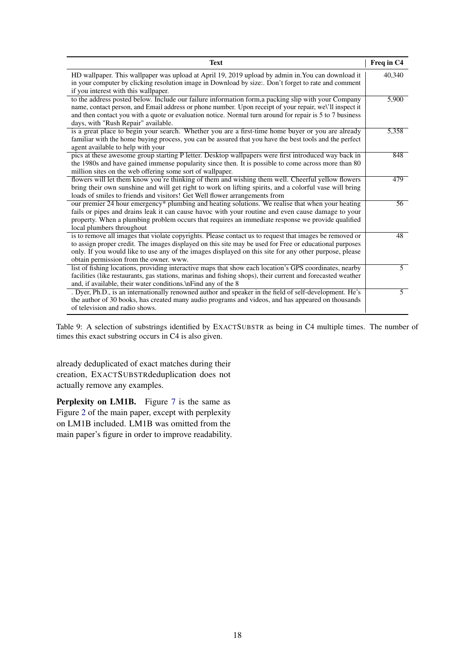<span id="page-17-0"></span>

| <b>Text</b>                                                                                                                                  | Freq in C4      |
|----------------------------------------------------------------------------------------------------------------------------------------------|-----------------|
| HD wallpaper. This wallpaper was upload at April 19, 2019 upload by admin in. You can download it                                            | 40,340          |
| in your computer by clicking resolution image in Download by size:. Don't forget to rate and comment<br>if you interest with this wallpaper. |                 |
| to the address posted below. Include our failure information form, a packing slip with your Company                                          | 5,900           |
| name, contact person, and Email address or phone number. Upon receipt of your repair, we\'ll inspect it                                      |                 |
| and then contact you with a quote or evaluation notice. Normal turn around for repair is 5 to 7 business                                     |                 |
| days, with "Rush Repair" available.                                                                                                          |                 |
| is a great place to begin your search. Whether you are a first-time home buyer or you are already                                            | 5,358           |
| familiar with the home buying process, you can be assured that you have the best tools and the perfect                                       |                 |
| agent available to help with your                                                                                                            |                 |
| pics at these awesome group starting P letter. Desktop wallpapers were first introduced way back in                                          | 848             |
| the 1980s and have gained immense popularity since then. It is possible to come across more than 80                                          |                 |
| million sites on the web offering some sort of wallpaper.                                                                                    |                 |
| flowers will let them know you're thinking of them and wishing them well. Cheerful yellow flowers                                            | 479             |
| bring their own sunshine and will get right to work on lifting spirits, and a colorful vase will bring                                       |                 |
| loads of smiles to friends and visitors! Get Well flower arrangements from                                                                   |                 |
| our premier 24 hour emergency* plumbing and heating solutions. We realise that when your heating                                             | 56              |
| fails or pipes and drains leak it can cause havoc with your routine and even cause damage to your                                            |                 |
| property. When a plumbing problem occurs that requires an immediate response we provide qualified                                            |                 |
| local plumbers throughout                                                                                                                    |                 |
| is to remove all images that violate copyrights. Please contact us to request that images be removed or                                      | $\overline{48}$ |
| to assign proper credit. The images displayed on this site may be used for Free or educational purposes                                      |                 |
| only. If you would like to use any of the images displayed on this site for any other purpose, please                                        |                 |
| obtain permission from the owner, www.                                                                                                       |                 |
| list of fishing locations, providing interactive maps that show each location's GPS coordinates, nearby                                      | $\overline{5}$  |
| facilities (like restaurants, gas stations, marinas and fishing shops), their current and forecasted weather                                 |                 |
| and, if available, their water conditions.\nFind any of the 8                                                                                |                 |
| . Dyer, Ph.D., is an internationally renowned author and speaker in the field of self-development. He's                                      | $\overline{5}$  |
| the author of 30 books, has created many audio programs and videos, and has appeared on thousands                                            |                 |
| of television and radio shows.                                                                                                               |                 |

Table 9: A selection of substrings identified by EXACTSUBSTR as being in C4 multiple times. The number of times this exact substring occurs in C4 is also given.

already deduplicated of exact matches during their creation, EXACTSUBSTRdeduplication does not actually remove any examples.

Perplexity on LM1B. Figure [7](#page-18-0) is the same as Figure [2](#page-5-2) of the main paper, except with perplexity on LM1B included. LM1B was omitted from the main paper's figure in order to improve readability.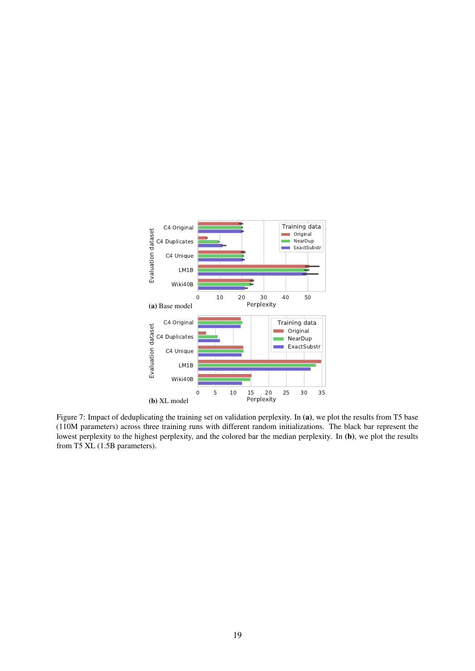<span id="page-18-0"></span>

Figure 7: Impact of deduplicating the training set on validation perplexity. In (a), we plot the results from T5 base (110M parameters) across three training runs with different random initializations. The black bar represent the lowest perplexity to the highest perplexity, and the colored bar the median perplexity. In (b), we plot the results from T5 XL (1.5B parameters).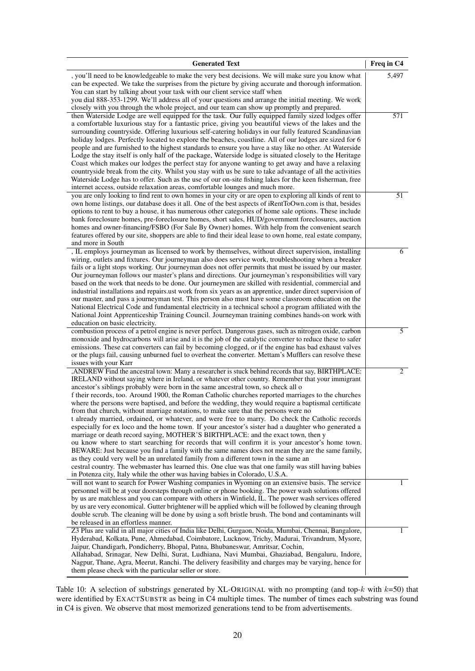<span id="page-19-0"></span>

| <b>Generated Text</b>                                                                                                                                                                                                                                                                                                                                                                                                                                                                                                                                                                                                                                                                                                                                                                                                                                                                                                                                                                                                                                                                                                                                                                                                                                                                                                                                                               | Freq in C4 |
|-------------------------------------------------------------------------------------------------------------------------------------------------------------------------------------------------------------------------------------------------------------------------------------------------------------------------------------------------------------------------------------------------------------------------------------------------------------------------------------------------------------------------------------------------------------------------------------------------------------------------------------------------------------------------------------------------------------------------------------------------------------------------------------------------------------------------------------------------------------------------------------------------------------------------------------------------------------------------------------------------------------------------------------------------------------------------------------------------------------------------------------------------------------------------------------------------------------------------------------------------------------------------------------------------------------------------------------------------------------------------------------|------------|
| , you'll need to be knowledgeable to make the very best decisions. We will make sure you know what<br>can be expected. We take the surprises from the picture by giving accurate and thorough information.<br>You can start by talking about your task with our client service staff when<br>you dial 888-353-1299. We'll address all of your questions and arrange the initial meeting. We work<br>closely with you through the whole project, and our team can show up promptly and prepared.                                                                                                                                                                                                                                                                                                                                                                                                                                                                                                                                                                                                                                                                                                                                                                                                                                                                                     | 5,497      |
| then Waterside Lodge are well equipped for the task. Our fully equipped family sized lodges offer<br>a comfortable luxurious stay for a fantastic price, giving you beautiful views of the lakes and the<br>surrounding countryside. Offering luxurious self-catering holidays in our fully featured Scandinavian<br>holiday lodges. Perfectly located to explore the beaches, coastline. All of our lodges are sized for 6<br>people and are furnished to the highest standards to ensure you have a stay like no other. At Waterside<br>Lodge the stay itself is only half of the package, Waterside lodge is situated closely to the Heritage<br>Coast which makes our lodges the perfect stay for anyone wanting to get away and have a relaxing<br>countryside break from the city. Whilst you stay with us be sure to take advantage of all the activities<br>Waterside Lodge has to offer. Such as the use of our on-site fishing lakes for the keen fisherman, free<br>internet access, outside relaxation areas, comfortable lounges and much more.                                                                                                                                                                                                                                                                                                                        | 571        |
| you are only looking to find rent to own homes in your city or are open to exploring all kinds of rent to<br>own home listings, our database does it all. One of the best aspects of iRentToOwn.com is that, besides<br>options to rent to buy a house, it has numerous other categories of home sale options. These include<br>bank foreclosure homes, pre-foreclosure homes, short sales, HUD/government foreclosures, auction<br>homes and owner-financing/FSBO (For Sale By Owner) homes. With help from the convenient search<br>features offered by our site, shoppers are able to find their ideal lease to own home, real estate company,<br>and more in South                                                                                                                                                                                                                                                                                                                                                                                                                                                                                                                                                                                                                                                                                                              | 51         |
| , IL employs journeyman as licensed to work by themselves, without direct supervision, installing<br>wiring, outlets and fixtures. Our journeyman also does service work, troubleshooting when a breaker<br>fails or a light stops working. Our journeyman does not offer permits that must be issued by our master.<br>Our journeyman follows our master's plans and directions. Our journeyman's responsibilities will vary<br>based on the work that needs to be done. Our journeymen are skilled with residential, commercial and<br>industrial installations and repairs ust work from six years as an apprentice, under direct supervision of<br>our master, and pass a journeyman test. This person also must have some classroom education on the<br>National Electrical Code and fundamental electricity in a technical school a program affiliated with the<br>National Joint Apprenticeship Training Council. Journeyman training combines hands-on work with<br>education on basic electricity.                                                                                                                                                                                                                                                                                                                                                                         | 6          |
| combustion process of a petrol engine is never perfect. Dangerous gases, such as nitrogen oxide, carbon<br>monoxide and hydrocarbons will arise and it is the job of the catalytic converter to reduce these to safer<br>emissions. These cat converters can fail by becoming clogged, or if the engine has bad exhaust valves<br>or the plugs fail, causing unburned fuel to overheat the converter. Mettam's Mufflers can resolve these<br>issues with your Karr                                                                                                                                                                                                                                                                                                                                                                                                                                                                                                                                                                                                                                                                                                                                                                                                                                                                                                                  | 5          |
| , ANDREW Find the ancestral town: Many a researcher is stuck behind records that say, BIRTHPLACE:<br>IRELAND without saying where in Ireland, or whatever other country. Remember that your immigrant<br>ancestor's siblings probably were born in the same ancestral town, so check all o<br>f their records, too. Around 1900, the Roman Catholic churches reported marriages to the churches<br>where the persons were baptised, and before the wedding, they would require a baptismal certificate<br>from that church, without marriage notations, to make sure that the persons were no<br>t already married, ordained, or whatever, and were free to marry. Do check the Catholic records<br>especially for ex loco and the home town. If your ancestor's sister had a daughter who generated a<br>marriage or death record saying, MOTHER'S BIRTHPLACE: and the exact town, then y<br>ou know where to start searching for records that will confirm it is your ancestor's home town.<br>BEWARE: Just because you find a family with the same names does not mean they are the same family,<br>as they could very well be an unrelated family from a different town in the same an<br>cestral country. The webmaster has learned this. One clue was that one family was still having babies<br>in Potenza city, Italy while the other was having babies in Colorado, U.S.A. | 2          |
| will not want to search for Power Washing companies in Wyoming on an extensive basis. The service<br>personnel will be at your doorsteps through online or phone booking. The power wash solutions offered<br>by us are matchless and you can compare with others in Winfield, IL. The power wash services offered<br>by us are very economical. Gutter brightener will be applied which will be followed by cleaning through<br>double scrub. The cleaning will be done by using a soft bristle brush. The bond and contaminants will<br>be released in an effortless manner.                                                                                                                                                                                                                                                                                                                                                                                                                                                                                                                                                                                                                                                                                                                                                                                                      |            |
| Z3 Plus are valid in all major cities of India like Delhi, Gurgaon, Noida, Mumbai, Chennai, Bangalore,<br>Hyderabad, Kolkata, Pune, Ahmedabad, Coimbatore, Lucknow, Trichy, Madurai, Trivandrum, Mysore,<br>Jaipur, Chandigarh, Pondicherry, Bhopal, Patna, Bhubaneswar, Amritsar, Cochin,<br>Allahabad, Srinagar, New Delhi, Surat, Ludhiana, Navi Mumbai, Ghaziabad, Bengaluru, Indore,<br>Nagpur, Thane, Agra, Meerut, Ranchi. The delivery feasibility and charges may be varying, hence for<br>them please check with the particular seller or store.                                                                                                                                                                                                                                                                                                                                                                                                                                                                                                                                                                                                                                                                                                                                                                                                                          | 1          |

Table 10: A selection of substrings generated by XL-ORIGINAL with no prompting (and top- $k$  with  $k=50$ ) that were identified by EXACTSUBSTR as being in C4 multiple times. The number of times each substring was found in C4 is given. We observe that most memorized generations tend to be from advertisements.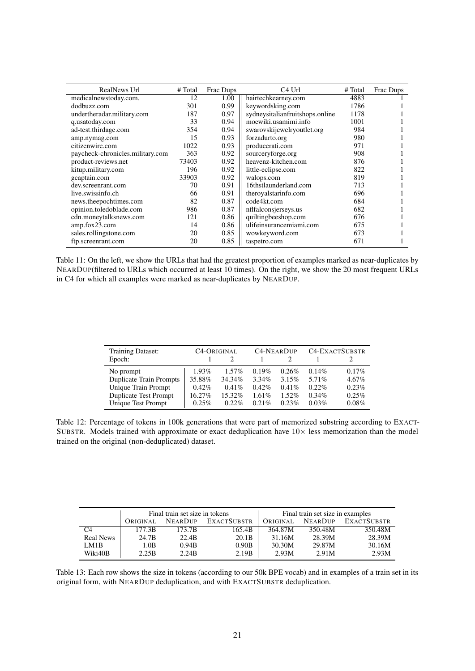<span id="page-20-0"></span>

| RealNews Url                     | # Total | Frac Dups | C <sub>4</sub> U <sub>rl</sub>  | # Total | Frac Dups |
|----------------------------------|---------|-----------|---------------------------------|---------|-----------|
| medicalnewstoday.com.            | 12      | 1.00      | hairtechkearney.com             | 4883    |           |
| dodbuzz.com                      | 301     | 0.99      | keywordsking.com                | 1786    |           |
| undertheradar.military.com       | 187     | 0.97      | sydneysitalianfruitshops.online | 1178    |           |
| q.usatoday.com                   | 33      | 0.94      | moewiki.usamimi.info            | 1001    |           |
| ad-test.thirdage.com             | 354     | 0.94      | swarovskijewelryoutlet.org      | 984     |           |
| amp.nymag.com                    | 15      | 0.93      | forzadurto.org                  | 980     |           |
| citizenwire.com                  | 1022    | 0.93      | producerati.com                 | 971     |           |
| paycheck-chronicles.military.com | 363     | 0.92      | sourceryforge.org               | 908     |           |
| product-reviews.net              | 73403   | 0.92      | heavenz-kitchen.com             | 876     |           |
| kitup.military.com               | 196     | 0.92      | little-eclipse.com              | 822     |           |
| gcaptain.com                     | 33903   | 0.92      | walops.com                      | 819     |           |
| dev.screenrant.com               | 70      | 0.91      | 16thstlaunderland.com           | 713     |           |
| live.swissinfo.ch                | 66      | 0.91      | theroyalstarinfo.com            | 696     |           |
| news.theepochtimes.com           | 82      | 0.87      | code4kt.com                     | 684     |           |
| opinion.toledoblade.com          | 986     | 0.87      | nflfalconsjerseys.us            | 682     |           |
| cdn.moneytalksnews.com           | 121     | 0.86      | quiltingbeeshop.com             | 676     |           |
| amp.fox23.com                    | 14      | 0.86      | ulifeinsurancemiami.com         | 675     |           |
| sales.rollingstone.com           | 20      | 0.85      | wowkeyword.com                  | 673     |           |
| ftp.screenrant.com               | 20      | 0.85      | taspetro.com                    | 671     |           |

Table 11: On the left, we show the URLs that had the greatest proportion of examples marked as near-duplicates by NEARDUP(filtered to URLs which occurred at least 10 times). On the right, we show the 20 most frequent URLs in C4 for which all examples were marked as near-duplicates by NEARDUP.

| Training Dataset:            | <b>C<sub>4</sub>-ORIGINAL</b> |          | <b>C4-NEARDUP</b> |          | <b>C4-EXACTSUBSTR</b> |          |
|------------------------------|-------------------------------|----------|-------------------|----------|-----------------------|----------|
| Epoch:                       |                               | 2        |                   |          |                       |          |
| No prompt                    | $1.93\%$                      | $1.57\%$ | 0.19%             | 0.26%    | $0.14\%$              | $0.17\%$ |
| Duplicate Train Prompts      | 35.88%                        | 34.34%   | $3.34\%$          | 3.15%    | 5.71%                 | $4.67\%$ |
| Unique Train Prompt          | $0.42\%$                      | 0.41%    | 0.42%             | 0.41%    | 0.22%                 | 0.23%    |
| <b>Duplicate Test Prompt</b> | 16.27%                        | 15.32%   | 1.61%             | $1.52\%$ | $0.34\%$              | 0.25%    |
| Unique Test Prompt           | 0.25%                         | 0.22%    | 0.21%             | 0.23%    | 0.03%                 | 0.08%    |

Table 12: Percentage of tokens in 100k generations that were part of memorized substring according to EXACT-SUBSTR. Models trained with approximate or exact deduplication have  $10\times$  less memorization than the model trained on the original (non-deduplicated) dataset.

<span id="page-20-1"></span>

|                  | Final train set size in tokens            |        |        | Final train set size in examples |                |             |
|------------------|-------------------------------------------|--------|--------|----------------------------------|----------------|-------------|
|                  | <b>NEARDUP</b><br>EXACTSUBSTR<br>ORIGINAL |        |        | ORIGINAL                         | <b>NEARDUP</b> | EXACTSUBSTR |
| C4               | 177.3B                                    | 173.7B | 165.4B | 364.87M                          | 350.48M        | 350.48M     |
| <b>Real News</b> | 24.7B                                     | 22.4B  | 20.1B  | 31.16M                           | 28.39M         | 28.39M      |
| LM1B             | 1.0B                                      | 0.94B  | 0.90B  | 30.30M                           | 29.87M         | 30.16M      |
| Wiki40B          | 2.25B                                     | 2.24B  | 2.19B  | 2.93M                            | 2.91M          | 2.93M       |

Table 13: Each row shows the size in tokens (according to our 50k BPE vocab) and in examples of a train set in its original form, with NEARDUP deduplication, and with EXACTSUBSTR deduplication.